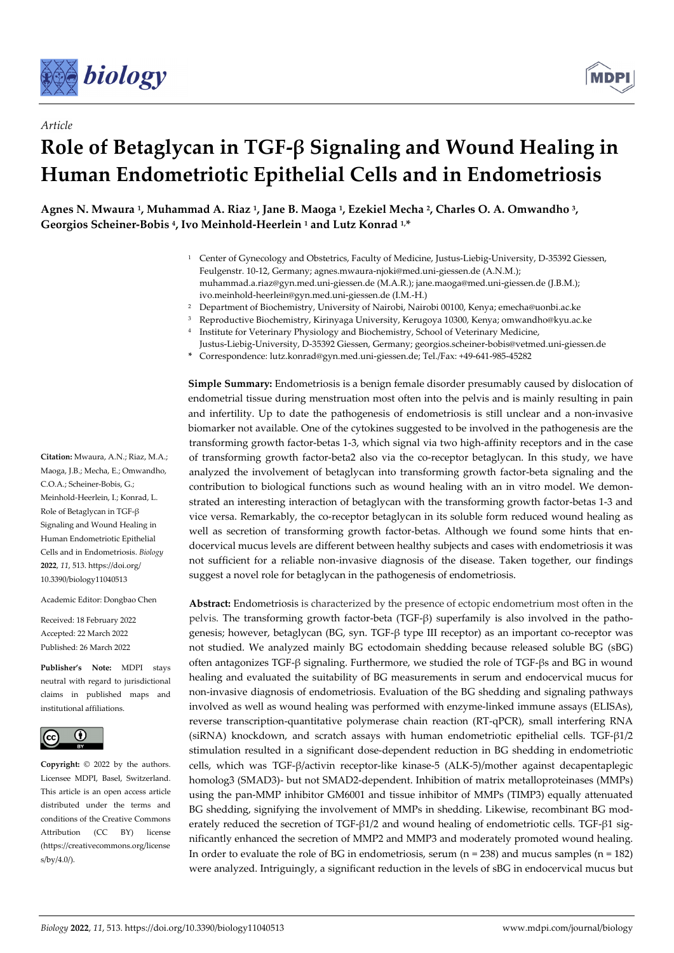



# *Article* **Role of Betaglycan in TGF-β Signaling and Wound Healing in Human Endometriotic Epithelial Cells and in Endometriosis**

**Agnes N. Mwaura 1, Muhammad A. Riaz 1, Jane B. Maoga 1, Ezekiel Mecha 2, Charles O. A. Omwandho 3, Georgios Scheiner-Bobis 4, Ivo Meinhold-Heerlein 1 and Lutz Konrad 1,\*** 

- 1 Center of Gynecology and Obstetrics, Faculty of Medicine, Justus-Liebig-University, D-35392 Giessen, Feulgenstr. 10-12, Germany; agnes.mwaura-njoki@med.uni-giessen.de (A.N.M.); muhammad.a.riaz@gyn.med.uni-giessen.de (M.A.R.); jane.maoga@med.uni-giessen.de (J.B.M.); ivo.meinhold-heerlein@gyn.med.uni-giessen.de (I.M.-H.)
- 2 Department of Biochemistry, University of Nairobi, Nairobi 00100, Kenya; emecha@uonbi.ac.ke
- 3 Reproductive Biochemistry, Kirinyaga University, Kerugoya 10300, Kenya; omwandho@kyu.ac.ke
- 4 Institute for Veterinary Physiology and Biochemistry, School of Veterinary Medicine,
- Justus-Liebig-University, D-35392 Giessen, Germany; georgios.scheiner-bobis@vetmed.uni-giessen.de **\*** Correspondence: lutz.konrad@gyn.med.uni-giessen.de; Tel./Fax: +49-641-985-45282

**Simple Summary:** Endometriosis is a benign female disorder presumably caused by dislocation of endometrial tissue during menstruation most often into the pelvis and is mainly resulting in pain and infertility. Up to date the pathogenesis of endometriosis is still unclear and a non-invasive biomarker not available. One of the cytokines suggested to be involved in the pathogenesis are the transforming growth factor-betas 1-3, which signal via two high-affinity receptors and in the case of transforming growth factor-beta2 also via the co-receptor betaglycan. In this study, we have analyzed the involvement of betaglycan into transforming growth factor-beta signaling and the contribution to biological functions such as wound healing with an in vitro model. We demonstrated an interesting interaction of betaglycan with the transforming growth factor-betas 1-3 and vice versa. Remarkably, the co-receptor betaglycan in its soluble form reduced wound healing as well as secretion of transforming growth factor-betas. Although we found some hints that endocervical mucus levels are different between healthy subjects and cases with endometriosis it was not sufficient for a reliable non-invasive diagnosis of the disease. Taken together, our findings suggest a novel role for betaglycan in the pathogenesis of endometriosis.

**Abstract:** Endometriosis is characterized by the presence of ectopic endometrium most often in the pelvis. The transforming growth factor-beta (TGF-β) superfamily is also involved in the pathogenesis; however, betaglycan (BG, syn. TGF-β type III receptor) as an important co-receptor was not studied. We analyzed mainly BG ectodomain shedding because released soluble BG (sBG) often antagonizes TGF-β signaling. Furthermore, we studied the role of TGF-βs and BG in wound healing and evaluated the suitability of BG measurements in serum and endocervical mucus for non-invasive diagnosis of endometriosis. Evaluation of the BG shedding and signaling pathways involved as well as wound healing was performed with enzyme-linked immune assays (ELISAs), reverse transcription-quantitative polymerase chain reaction (RT-qPCR), small interfering RNA (siRNA) knockdown, and scratch assays with human endometriotic epithelial cells. TGF-β1/2 stimulation resulted in a significant dose-dependent reduction in BG shedding in endometriotic cells, which was TGF-β/activin receptor-like kinase-5 (ALK-5)/mother against decapentaplegic homolog3 (SMAD3)- but not SMAD2-dependent. Inhibition of matrix metalloproteinases (MMPs) using the pan-MMP inhibitor GM6001 and tissue inhibitor of MMPs (TIMP3) equally attenuated BG shedding, signifying the involvement of MMPs in shedding. Likewise, recombinant BG moderately reduced the secretion of TGF-β1/2 and wound healing of endometriotic cells. TGF-β1 significantly enhanced the secretion of MMP2 and MMP3 and moderately promoted wound healing. In order to evaluate the role of BG in endometriosis, serum  $(n = 238)$  and mucus samples  $(n = 182)$ were analyzed. Intriguingly, a significant reduction in the levels of sBG in endocervical mucus but

**Citation:** Mwaura, A.N.; Riaz, M.A.; Maoga, J.B.; Mecha, E.; Omwandho, C.O.A.; Scheiner-Bobis, G.; Meinhold-Heerlein, I.; Konrad, L. Role of Betaglycan in TGF-β Signaling and Wound Healing in Human Endometriotic Epithelial Cells and in Endometriosis. *Biology*  **2022**, *11*, 513. https://doi.org/ 10.3390/biology11040513

Academic Editor: Dongbao Chen

Received: 18 February 2022 Accepted: 22 March 2022 Published: 26 March 2022

**Publisher's Note:** MDPI stays neutral with regard to jurisdictional claims in published maps and institutional affiliations.



**Copyright:** © 2022 by the authors. Licensee MDPI, Basel, Switzerland. This article is an open access article distributed under the terms and conditions of the Creative Commons Attribution (CC BY) license (https://creativecommons.org/license s/by/4.0/).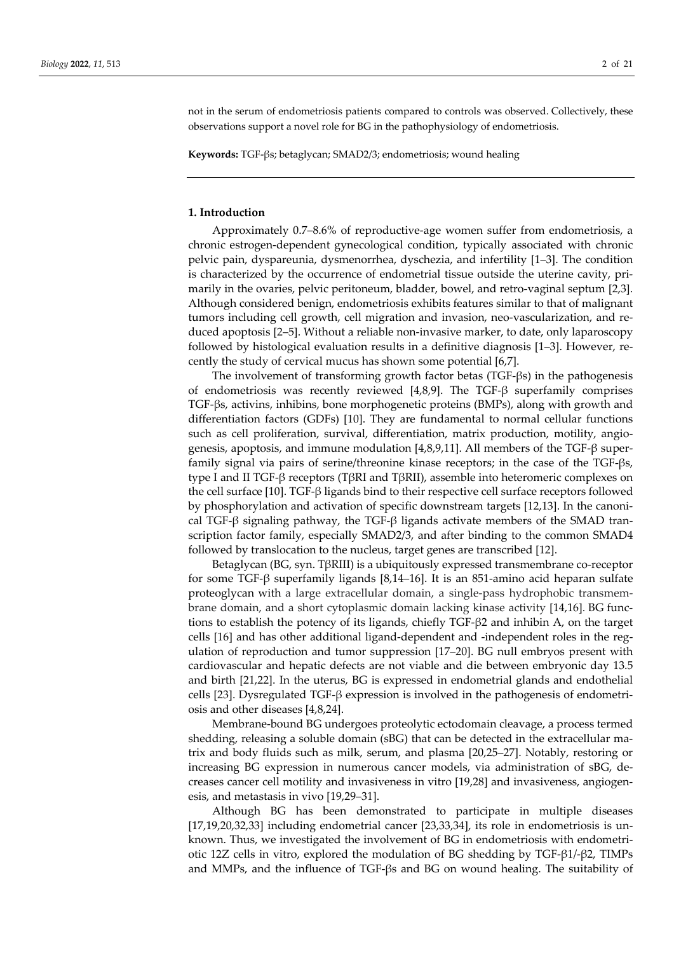not in the serum of endometriosis patients compared to controls was observed. Collectively, these observations support a novel role for BG in the pathophysiology of endometriosis.

**Keywords:** TGF-βs; betaglycan; SMAD2/3; endometriosis; wound healing

#### **1. Introduction**

Approximately 0.7–8.6% of reproductive-age women suffer from endometriosis, a chronic estrogen-dependent gynecological condition, typically associated with chronic pelvic pain, dyspareunia, dysmenorrhea, dyschezia, and infertility [1–3]. The condition is characterized by the occurrence of endometrial tissue outside the uterine cavity, primarily in the ovaries, pelvic peritoneum, bladder, bowel, and retro-vaginal septum [2,3]. Although considered benign, endometriosis exhibits features similar to that of malignant tumors including cell growth, cell migration and invasion, neo-vascularization, and reduced apoptosis [2–5]. Without a reliable non-invasive marker, to date, only laparoscopy followed by histological evaluation results in a definitive diagnosis [1–3]. However, recently the study of cervical mucus has shown some potential [6,7].

The involvement of transforming growth factor betas (TGF-βs) in the pathogenesis of endometriosis was recently reviewed [4,8,9]. The TGF-β superfamily comprises TGF-βs, activins, inhibins, bone morphogenetic proteins (BMPs), along with growth and differentiation factors (GDFs) [10]. They are fundamental to normal cellular functions such as cell proliferation, survival, differentiation, matrix production, motility, angiogenesis, apoptosis, and immune modulation [4,8,9,11]. All members of the TGF-β superfamily signal via pairs of serine/threonine kinase receptors; in the case of the TGF-βs, type I and II TGF-β receptors (TβRI and TβRII), assemble into heteromeric complexes on the cell surface [10]. TGF-β ligands bind to their respective cell surface receptors followed by phosphorylation and activation of specific downstream targets [12,13]. In the canonical TGF- $\beta$  signaling pathway, the TGF- $\beta$  ligands activate members of the SMAD transcription factor family, especially SMAD2/3, and after binding to the common SMAD4 followed by translocation to the nucleus, target genes are transcribed [12].

Betaglycan (BG, syn. TβRIII) is a ubiquitously expressed transmembrane co-receptor for some TGF-β superfamily ligands [8,14–16]. It is an 851-amino acid heparan sulfate proteoglycan with a large extracellular domain, a single-pass hydrophobic transmembrane domain, and a short cytoplasmic domain lacking kinase activity [14,16]. BG functions to establish the potency of its ligands, chiefly TGF-β2 and inhibin A, on the target cells [16] and has other additional ligand-dependent and -independent roles in the regulation of reproduction and tumor suppression [17–20]. BG null embryos present with cardiovascular and hepatic defects are not viable and die between embryonic day 13.5 and birth [21,22]. In the uterus, BG is expressed in endometrial glands and endothelial cells [23]. Dysregulated TGF-β expression is involved in the pathogenesis of endometriosis and other diseases [4,8,24].

Membrane-bound BG undergoes proteolytic ectodomain cleavage, a process termed shedding, releasing a soluble domain (sBG) that can be detected in the extracellular matrix and body fluids such as milk, serum, and plasma [20,25–27]. Notably, restoring or increasing BG expression in numerous cancer models, via administration of sBG, decreases cancer cell motility and invasiveness in vitro [19,28] and invasiveness, angiogenesis, and metastasis in vivo [19,29–31].

Although BG has been demonstrated to participate in multiple diseases [17,19,20,32,33] including endometrial cancer [23,33,34], its role in endometriosis is unknown. Thus, we investigated the involvement of BG in endometriosis with endometriotic 12Z cells in vitro, explored the modulation of BG shedding by TGF-β1/-β2, TIMPs and MMPs, and the influence of TGF-βs and BG on wound healing. The suitability of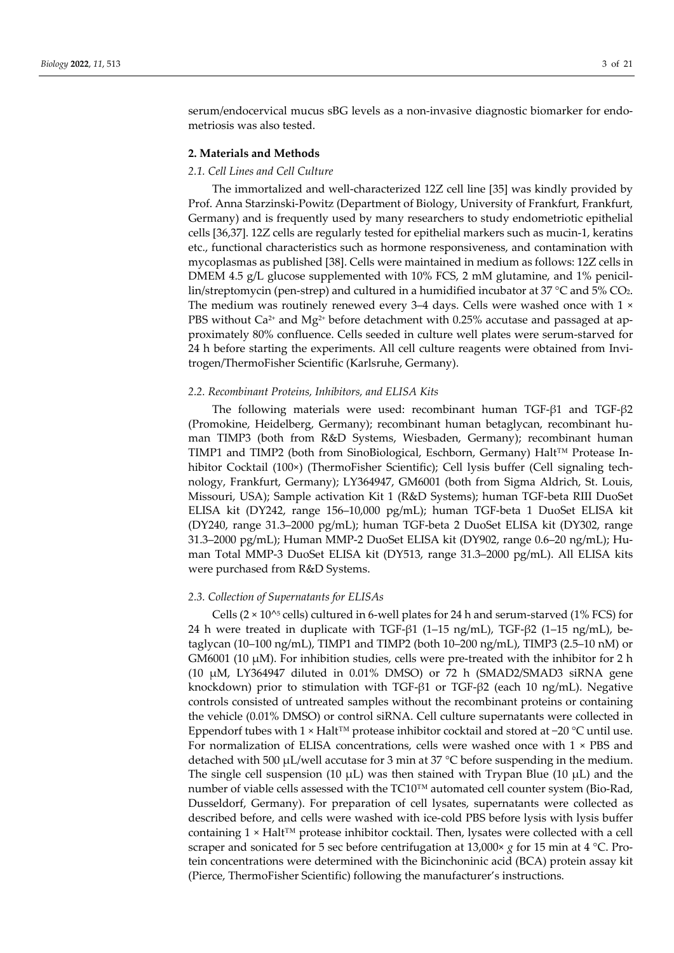serum/endocervical mucus sBG levels as a non-invasive diagnostic biomarker for endometriosis was also tested.

#### **2. Materials and Methods**

#### *2.1. Cell Lines and Cell Culture*

The immortalized and well-characterized 12Z cell line [35] was kindly provided by Prof. Anna Starzinski-Powitz (Department of Biology, University of Frankfurt, Frankfurt, Germany) and is frequently used by many researchers to study endometriotic epithelial cells [36,37]. 12Z cells are regularly tested for epithelial markers such as mucin-1, keratins etc., functional characteristics such as hormone responsiveness, and contamination with mycoplasmas as published [38]. Cells were maintained in medium as follows: 12Z cells in DMEM 4.5 g/L glucose supplemented with 10% FCS, 2 mM glutamine, and 1% penicillin/streptomycin (pen-strep) and cultured in a humidified incubator at 37  $\degree$ C and 5% CO<sub>2</sub>. The medium was routinely renewed every 3–4 days. Cells were washed once with 1 × PBS without  $Ca^{2+}$  and  $Mg^{2+}$  before detachment with 0.25% accutase and passaged at approximately 80% confluence. Cells seeded in culture well plates were serum-starved for 24 h before starting the experiments. All cell culture reagents were obtained from Invitrogen/ThermoFisher Scientific (Karlsruhe, Germany).

#### *2.2. Recombinant Proteins, Inhibitors, and ELISA Kits*

The following materials were used: recombinant human TGF-β1 and TGF-β2 (Promokine, Heidelberg, Germany); recombinant human betaglycan, recombinant human TIMP3 (both from R&D Systems, Wiesbaden, Germany); recombinant human TIMP1 and TIMP2 (both from SinoBiological, Eschborn, Germany) Halt™ Protease Inhibitor Cocktail (100×) (ThermoFisher Scientific); Cell lysis buffer (Cell signaling technology, Frankfurt, Germany); LY364947, GM6001 (both from Sigma Aldrich, St. Louis, Missouri, USA); Sample activation Kit 1 (R&D Systems); human TGF-beta RIII DuoSet ELISA kit (DY242, range 156–10,000 pg/mL); human TGF-beta 1 DuoSet ELISA kit (DY240, range 31.3–2000 pg/mL); human TGF-beta 2 DuoSet ELISA kit (DY302, range 31.3–2000 pg/mL); Human MMP-2 DuoSet ELISA kit (DY902, range 0.6–20 ng/mL); Human Total MMP-3 DuoSet ELISA kit (DY513, range 31.3–2000 pg/mL). All ELISA kits were purchased from R&D Systems.

#### *2.3. Collection of Supernatants for ELISAs*

Cells  $(2 \times 10^{5} \text{ cells})$  cultured in 6-well plates for 24 h and serum-starved (1% FCS) for 24 h were treated in duplicate with TGF-β1 (1–15 ng/mL), TGF-β2 (1–15 ng/mL), betaglycan (10–100 ng/mL), TIMP1 and TIMP2 (both 10–200 ng/mL), TIMP3 (2.5–10 nM) or GM6001 (10  $\mu$ M). For inhibition studies, cells were pre-treated with the inhibitor for 2 h (10 µM, LY364947 diluted in 0.01% DMSO) or 72 h (SMAD2/SMAD3 siRNA gene knockdown) prior to stimulation with TGF-β1 or TGF-β2 (each 10 ng/mL). Negative controls consisted of untreated samples without the recombinant proteins or containing the vehicle (0.01% DMSO) or control siRNA. Cell culture supernatants were collected in Eppendorf tubes with 1 × Halt™ protease inhibitor cocktail and stored at −20 °C until use. For normalization of ELISA concentrations, cells were washed once with 1 × PBS and detached with 500 µL/well accutase for 3 min at 37 °C before suspending in the medium. The single cell suspension (10  $\mu$ L) was then stained with Trypan Blue (10  $\mu$ L) and the number of viable cells assessed with the TC10™ automated cell counter system (Bio-Rad, Dusseldorf, Germany). For preparation of cell lysates, supernatants were collected as described before, and cells were washed with ice-cold PBS before lysis with lysis buffer containing  $1 \times \text{Half}^{\text{TM}}$  protease inhibitor cocktail. Then, lysates were collected with a cell scraper and sonicated for 5 sec before centrifugation at 13,000 $\times$  *g* for 15 min at 4 °C. Protein concentrations were determined with the Bicinchoninic acid (BCA) protein assay kit (Pierce, ThermoFisher Scientific) following the manufacturer's instructions.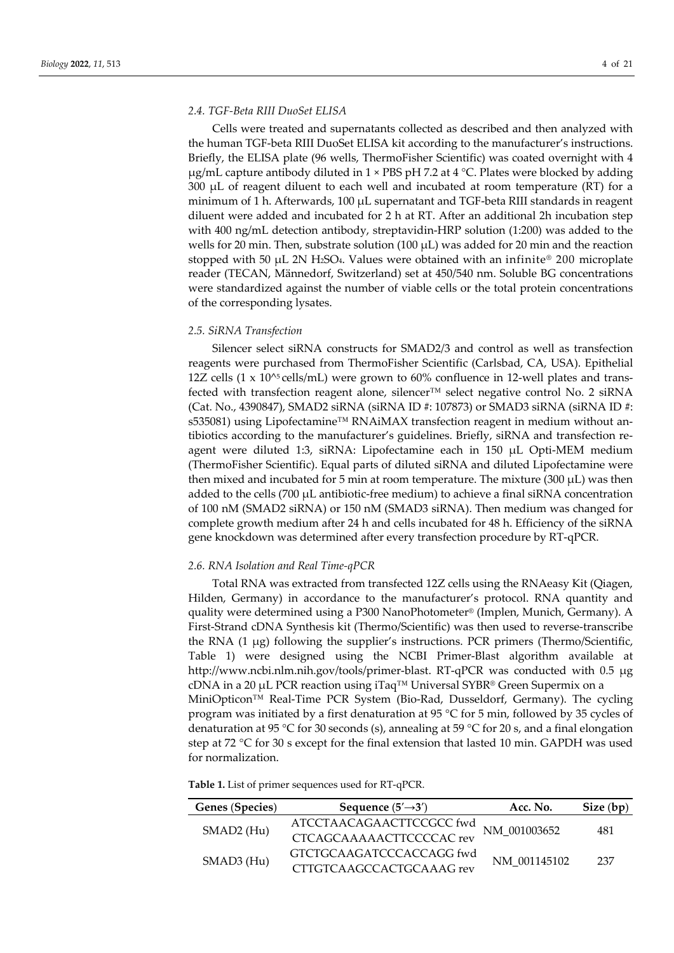## *2.4. TGF-Beta RIII DuoSet ELISA*

Cells were treated and supernatants collected as described and then analyzed with the human TGF-beta RIII DuoSet ELISA kit according to the manufacturer's instructions. Briefly, the ELISA plate (96 wells, ThermoFisher Scientific) was coated overnight with 4  $\mu$ g/mL capture antibody diluted in 1 × PBS pH 7.2 at 4 °C. Plates were blocked by adding  $300 \mu L$  of reagent diluent to each well and incubated at room temperature (RT) for a minimum of 1 h. Afterwards,  $100 \mu$ L supernatant and TGF-beta RIII standards in reagent diluent were added and incubated for 2 h at RT. After an additional 2h incubation step with 400 ng/mL detection antibody, streptavidin-HRP solution (1:200) was added to the wells for 20 min. Then, substrate solution (100  $\mu$ L) was added for 20 min and the reaction stopped with 50  $\mu$ L 2N H<sub>2</sub>SO<sub>4</sub>. Values were obtained with an infinite<sup>®</sup> 200 microplate reader (TECAN, Männedorf, Switzerland) set at 450/540 nm. Soluble BG concentrations were standardized against the number of viable cells or the total protein concentrations of the corresponding lysates.

## *2.5. SiRNA Transfection*

Silencer select siRNA constructs for SMAD2/3 and control as well as transfection reagents were purchased from ThermoFisher Scientific (Carlsbad, CA, USA). Epithelial 12Z cells  $(1 \times 10^{5} \text{cells/mL})$  were grown to 60% confluence in 12-well plates and transfected with transfection reagent alone, silencer™ select negative control No. 2 siRNA (Cat. No., 4390847), SMAD2 siRNA (siRNA ID #: 107873) or SMAD3 siRNA (siRNA ID #: s535081) using Lipofectamine™ RNAiMAX transfection reagent in medium without antibiotics according to the manufacturer's guidelines. Briefly, siRNA and transfection reagent were diluted 1:3, siRNA: Lipofectamine each in 150 µL Opti-MEM medium (ThermoFisher Scientific). Equal parts of diluted siRNA and diluted Lipofectamine were then mixed and incubated for 5 min at room temperature. The mixture  $(300 \mu L)$  was then added to the cells (700  $\mu$ L antibiotic-free medium) to achieve a final siRNA concentration of 100 nM (SMAD2 siRNA) or 150 nM (SMAD3 siRNA). Then medium was changed for complete growth medium after 24 h and cells incubated for 48 h. Efficiency of the siRNA gene knockdown was determined after every transfection procedure by RT-qPCR.

# *2.6. RNA Isolation and Real Time-qPCR*

Total RNA was extracted from transfected 12Z cells using the RNAeasy Kit (Qiagen, Hilden, Germany) in accordance to the manufacturer's protocol. RNA quantity and quality were determined using a P300 NanoPhotometer® (Implen, Munich, Germany). A First-Strand cDNA Synthesis kit (Thermo/Scientific) was then used to reverse-transcribe the RNA (1 µg) following the supplier's instructions. PCR primers (Thermo/Scientific, Table 1) were designed using the NCBI Primer-Blast algorithm available at http://www.ncbi.nlm.nih.gov/tools/primer-blast. RT-qPCR was conducted with 0.5 µg cDNA in a 20 µL PCR reaction using iTaq<sup>TM</sup> Universal SYBR® Green Supermix on a MiniOpticon™ Real-Time PCR System (Bio-Rad, Dusseldorf, Germany). The cycling program was initiated by a first denaturation at 95  $\degree$ C for 5 min, followed by 35 cycles of denaturation at 95 °C for 30 seconds (s), annealing at 59 °C for 20 s, and a final elongation step at 72 °C for 30 s except for the final extension that lasted 10 min. GAPDH was used for normalization.

**Table 1.** List of primer sequences used for RT-qPCR.

| Genes (Species)        | Sequence $(5' \rightarrow 3')$                       | Acc. No.     | Size (bp) |  |
|------------------------|------------------------------------------------------|--------------|-----------|--|
|                        | ATCCTAACAGAACTTCCGCC fwd<br>CTCAGCAAAAACTTCCCCAC rev | NM 001003652 | 481       |  |
| SMAD <sub>2</sub> (Hu) |                                                      |              |           |  |
|                        | GTCTGCAAGATCCCACCAGG fwd                             |              | 237       |  |
| SMAD3 (Hu)             | CTTGTCAAGCCACTGCAAAG rev                             | NM 001145102 |           |  |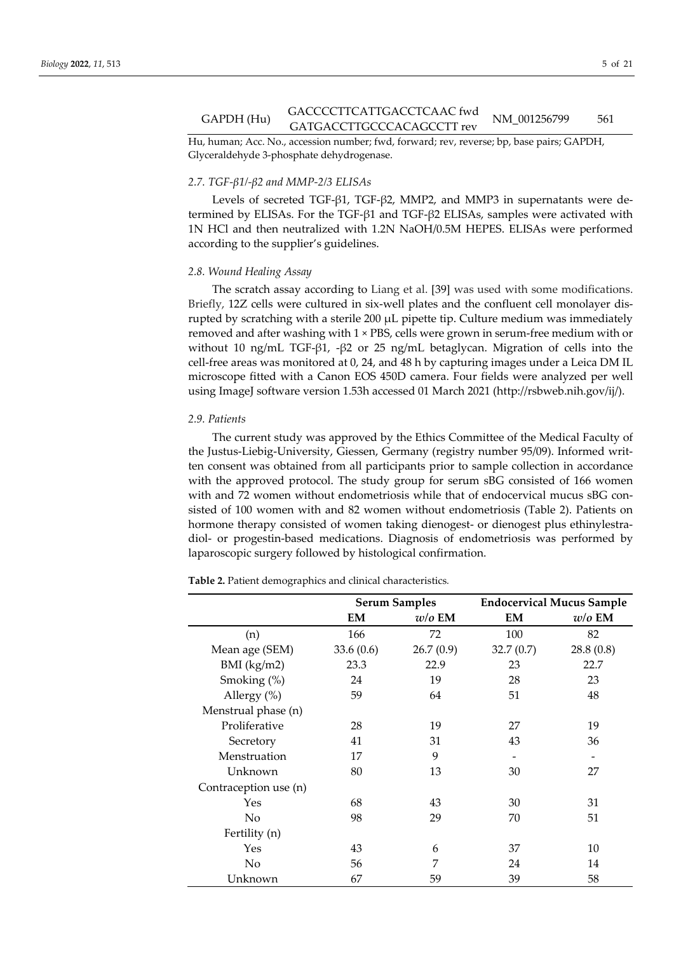# GACCCCTTCATTGACCTCAAC fwd<br>GAPDH (Hu) GATGACCTTGACCTCAACTWQ NM\_001256799 561

Hu, human; Acc. No., accession number; fwd, forward; rev, reverse; bp, base pairs; GAPDH, Glyceraldehyde 3-phosphate dehydrogenase.

## *2.7. TGF-β1/-β2 and MMP-2/3 ELISAs*

Levels of secreted TGF-β1, TGF-β2, MMP2, and MMP3 in supernatants were determined by ELISAs. For the TGF-β1 and TGF-β2 ELISAs, samples were activated with 1N HCl and then neutralized with 1.2N NaOH/0.5M HEPES. ELISAs were performed according to the supplier's guidelines.

### *2.8. Wound Healing Assay*

The scratch assay according to Liang et al. [39] was used with some modifications. Briefly, 12Z cells were cultured in six-well plates and the confluent cell monolayer disrupted by scratching with a sterile 200 µL pipette tip. Culture medium was immediately removed and after washing with 1 × PBS, cells were grown in serum-free medium with or without 10 ng/mL TGF-β1, -β2 or 25 ng/mL betaglycan. Migration of cells into the cell-free areas was monitored at 0, 24, and 48 h by capturing images under a Leica DM IL microscope fitted with a Canon EOS 450D camera. Four fields were analyzed per well using ImageJ software version 1.53h accessed 01 March 2021 (http://rsbweb.nih.gov/ij/).

## *2.9. Patients*

The current study was approved by the Ethics Committee of the Medical Faculty of the Justus-Liebig-University, Giessen, Germany (registry number 95/09). Informed written consent was obtained from all participants prior to sample collection in accordance with the approved protocol. The study group for serum sBG consisted of 166 women with and 72 women without endometriosis while that of endocervical mucus sBG consisted of 100 women with and 82 women without endometriosis (Table 2). Patients on hormone therapy consisted of women taking dienogest- or dienogest plus ethinylestradiol- or progestin-based medications. Diagnosis of endometriosis was performed by laparoscopic surgery followed by histological confirmation.

|  |  |  |  | <b>Table 2.</b> Patient demographics and clinical characteristics. |
|--|--|--|--|--------------------------------------------------------------------|
|--|--|--|--|--------------------------------------------------------------------|

|                       | <b>Serum Samples</b> |           | <b>Endocervical Mucus Sample</b> |           |
|-----------------------|----------------------|-----------|----------------------------------|-----------|
|                       | EM                   | $w/o$ EM  | EM                               | $w/o$ EM  |
| (n)                   | 166                  | 72        | 100                              | 82        |
| Mean age (SEM)        | 33.6(0.6)            | 26.7(0.9) | 32.7(0.7)                        | 28.8(0.8) |
| $BMI$ (kg/m2)         | 23.3                 | 22.9      | 23                               | 22.7      |
| Smoking $(\%)$        | 24                   | 19        | 28                               | 23        |
| Allergy $(\%)$        | 59                   | 64        | 51                               | 48        |
| Menstrual phase (n)   |                      |           |                                  |           |
| Proliferative         | 28                   | 19        | 27                               | 19        |
| Secretory             | 41                   | 31        | 43                               | 36        |
| Menstruation          | 17                   | 9         |                                  |           |
| Unknown               | 80                   | 13        | 30                               | 27        |
| Contraception use (n) |                      |           |                                  |           |
| Yes                   | 68                   | 43        | 30                               | 31        |
| N <sub>0</sub>        | 98                   | 29        | 70                               | 51        |
| Fertility (n)         |                      |           |                                  |           |
| Yes                   | 43                   | 6         | 37                               | 10        |
| No                    | 56                   | 7         | 24                               | 14        |
| Unknown               | 67                   | 59        | 39                               | 58        |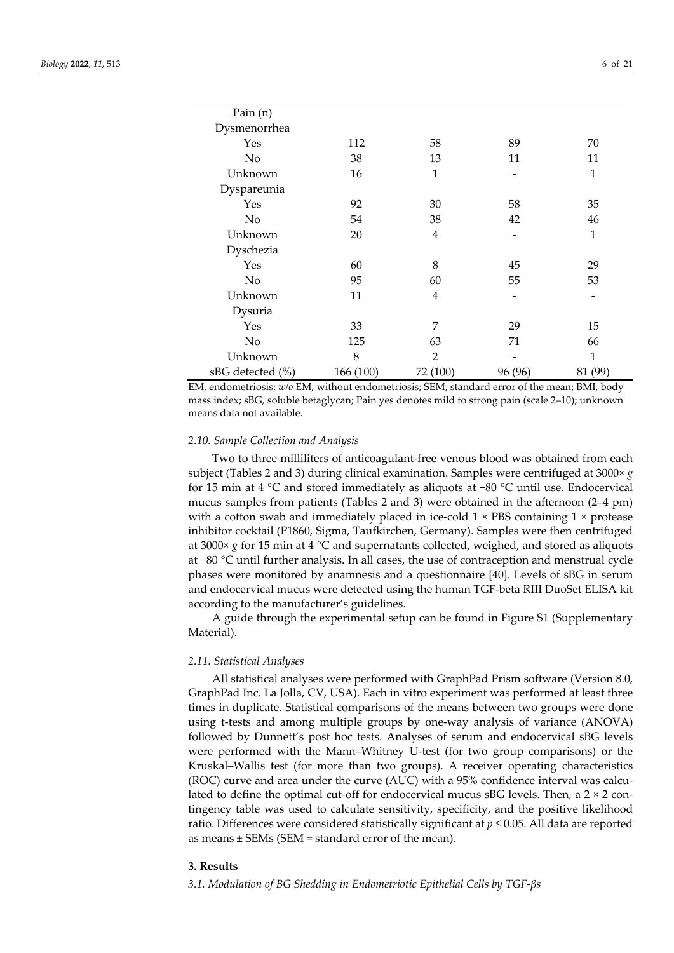| Pain $(n)$       |           |                |         |         |
|------------------|-----------|----------------|---------|---------|
| Dysmenorrhea     |           |                |         |         |
| Yes              | 112       | 58             | 89      | 70      |
| No               | 38        | 13             | 11      | 11      |
| Unknown          | 16        | $\mathbf{1}$   |         | 1       |
| Dyspareunia      |           |                |         |         |
| Yes              | 92        | 30             | 58      | 35      |
| No               | 54        | 38             | 42      | 46      |
| Unknown          | 20        | $\overline{4}$ |         | 1       |
| Dyschezia        |           |                |         |         |
| Yes              | 60        | 8              | 45      | 29      |
| No               | 95        | 60             | 55      | 53      |
| Unknown          | 11        | $\overline{4}$ |         |         |
| Dysuria          |           |                |         |         |
| Yes              | 33        | 7              | 29      | 15      |
| No               | 125       | 63             | 71      | 66      |
| Unknown          | 8         | 2              |         | 1       |
| sBG detected (%) | 166 (100) | 72 (100)       | 96 (96) | 81 (99) |

EM, endometriosis; *w/o* EM, without endometriosis; SEM, standard error of the mean; BMI, body mass index; sBG, soluble betaglycan; Pain yes denotes mild to strong pain (scale 2–10); unknown means data not available.

## *2.10. Sample Collection and Analysis*

Two to three milliliters of anticoagulant-free venous blood was obtained from each subject (Tables 2 and 3) during clinical examination. Samples were centrifuged at 3000× *g* for 15 min at 4 °C and stored immediately as aliquots at −80 °C until use. Endocervical mucus samples from patients (Tables 2 and 3) were obtained in the afternoon (2–4 pm) with a cotton swab and immediately placed in ice-cold  $1 \times PBS$  containing  $1 \times$  protease inhibitor cocktail (P1860, Sigma, Taufkirchen, Germany). Samples were then centrifuged at 3000× *g* for 15 min at 4 °C and supernatants collected, weighed, and stored as aliquots at −80 °C until further analysis. In all cases, the use of contraception and menstrual cycle phases were monitored by anamnesis and a questionnaire [40]. Levels of sBG in serum and endocervical mucus were detected using the human TGF-beta RIII DuoSet ELISA kit according to the manufacturer's guidelines.

A guide through the experimental setup can be found in Figure S1 (Supplementary Material).

## *2.11. Statistical Analyses*

All statistical analyses were performed with GraphPad Prism software (Version 8.0, GraphPad Inc. La Jolla, CV, USA). Each in vitro experiment was performed at least three times in duplicate. Statistical comparisons of the means between two groups were done using t-tests and among multiple groups by one-way analysis of variance (ANOVA) followed by Dunnett's post hoc tests. Analyses of serum and endocervical sBG levels were performed with the Mann–Whitney U-test (for two group comparisons) or the Kruskal–Wallis test (for more than two groups). A receiver operating characteristics (ROC) curve and area under the curve (AUC) with a 95% confidence interval was calculated to define the optimal cut-off for endocervical mucus  $sBG$  levels. Then, a  $2 \times 2$  contingency table was used to calculate sensitivity, specificity, and the positive likelihood ratio. Differences were considered statistically significant at *p* ≤ 0.05. All data are reported as means  $\pm$  SEMs (SEM = standard error of the mean).

#### **3. Results**

*3.1. Modulation of BG Shedding in Endometriotic Epithelial Cells by TGF-βs*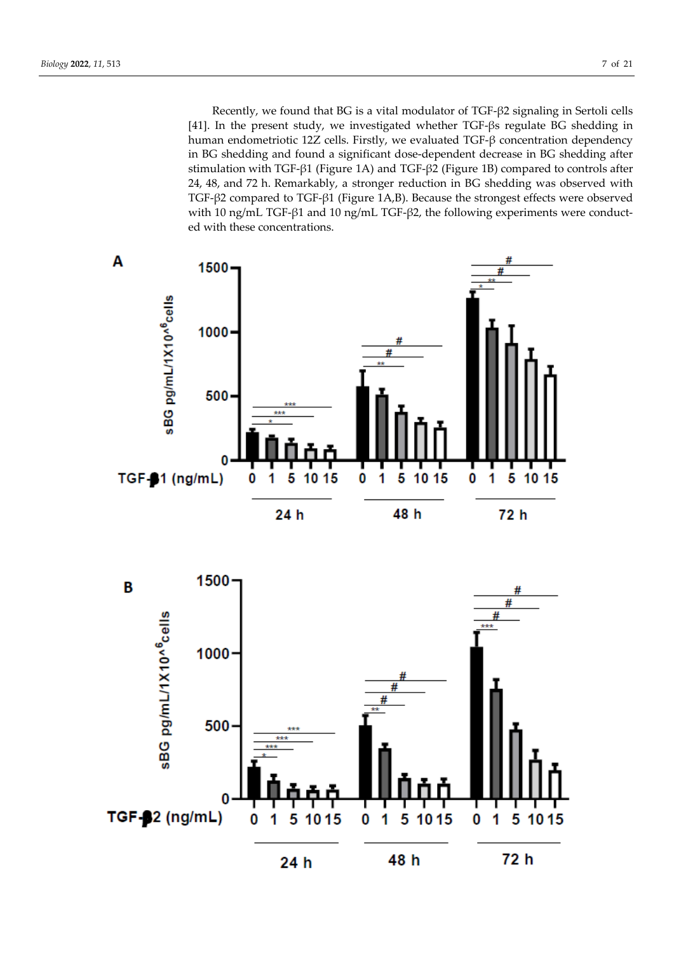Recently, we found that BG is a vital modulator of TGF-β2 signaling in Sertoli cells [41]. In the present study, we investigated whether TGF-βs regulate BG shedding in human endometriotic 12Z cells. Firstly, we evaluated TGF-β concentration dependency in BG shedding and found a significant dose-dependent decrease in BG shedding after stimulation with TGF-β1 (Figure 1A) and TGF-β2 (Figure 1B) compared to controls after 24, 48, and 72 h. Remarkably, a stronger reduction in BG shedding was observed with TGF-β2 compared to TGF-β1 (Figure 1A,B). Because the strongest effects were observed with 10 ng/mL TGF-β1 and 10 ng/mL TGF-β2, the following experiments were conducted with these concentrations.



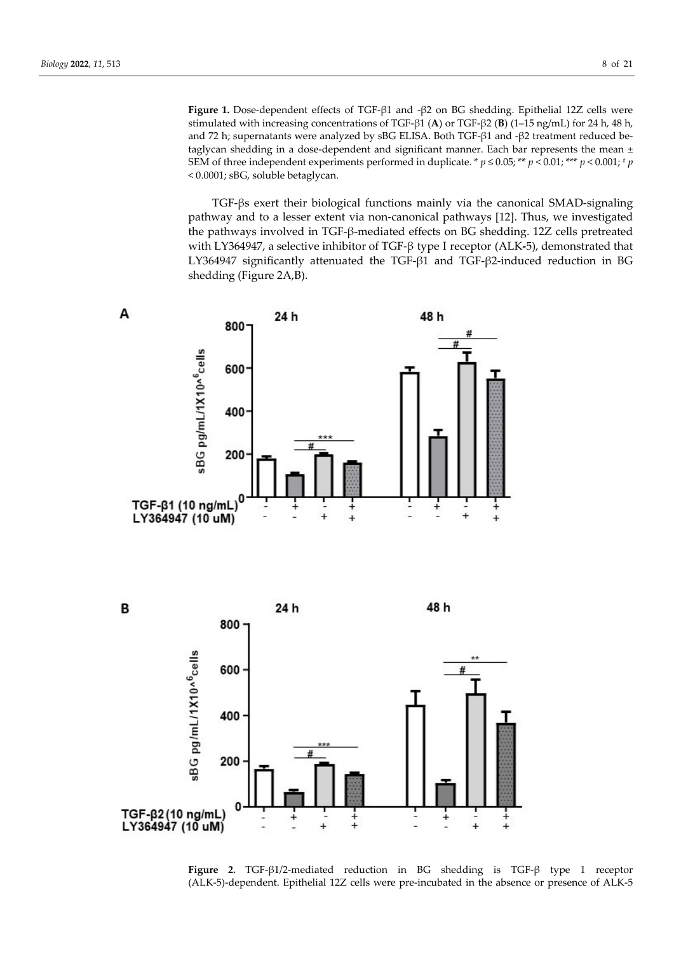**Figure 1.** Dose-dependent effects of TGF-β1 and -β2 on BG shedding. Epithelial 12Z cells were stimulated with increasing concentrations of TGF-β1 (**A**) or TGF-β2 (**B**) (1–15 ng/mL) for 24 h, 48 h, and 72 h; supernatants were analyzed by sBG ELISA. Both TGF-β1 and -β2 treatment reduced betaglycan shedding in a dose-dependent and significant manner. Each bar represents the mean  $\pm$ SEM of three independent experiments performed in duplicate. \*  $p \le 0.05$ ; \*\*  $p < 0.01$ ; \*\*\*  $p < 0.001$ ; \* *p* < 0.0001; sBG, soluble betaglycan.

TGF-βs exert their biological functions mainly via the canonical SMAD-signaling pathway and to a lesser extent via non-canonical pathways [12]. Thus, we investigated the pathways involved in TGF-β-mediated effects on BG shedding. 12Z cells pretreated with LY364947, a selective inhibitor of TGF-β type I receptor (ALK**-**5), demonstrated that LY364947 significantly attenuated the TGF-β1 and TGF-β2-induced reduction in BG shedding (Figure 2A,B).



**Figure 2.** TGF-β1/2-mediated reduction in BG shedding is TGF-β type 1 receptor (ALK-5)-dependent. Epithelial 12Z cells were pre-incubated in the absence or presence of ALK-5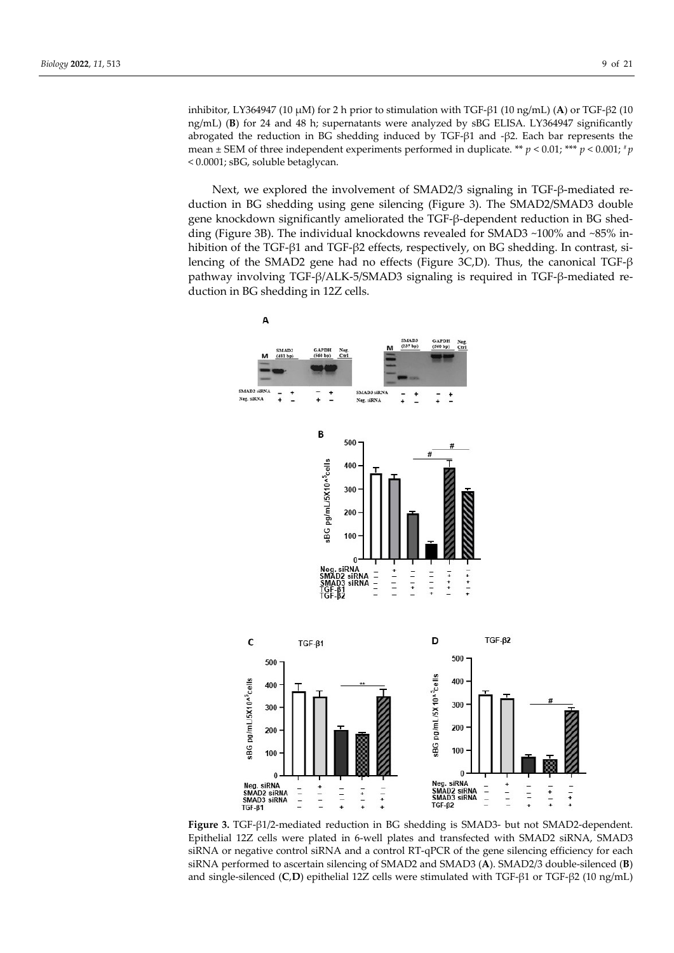inhibitor, LY364947 (10 µM) for 2 h prior to stimulation with TGF-β1 (10 ng/mL) (**A**) or TGF-β2 (10 ng/mL) (**B**) for 24 and 48 h; supernatants were analyzed by sBG ELISA. LY364947 significantly abrogated the reduction in BG shedding induced by TGF-β1 and -β2. Each bar represents the mean  $\pm$  SEM of three independent experiments performed in duplicate. \*\*  $p$  < 0.01; \*\*\*  $p$  < 0.001; \*p < 0.0001; sBG, soluble betaglycan.

Next, we explored the involvement of SMAD2/3 signaling in TGF-β-mediated reduction in BG shedding using gene silencing (Figure 3). The SMAD2/SMAD3 double gene knockdown significantly ameliorated the TGF-β-dependent reduction in BG shedding (Figure 3B). The individual knockdowns revealed for SMAD3 ~100% and ~85% inhibition of the TGF-β1 and TGF-β2 effects, respectively, on BG shedding. In contrast, silencing of the SMAD2 gene had no effects (Figure 3C,D). Thus, the canonical TGF-β pathway involving TGF-β/ALK-5/SMAD3 signaling is required in TGF-β-mediated reduction in BG shedding in 12Z cells.



**Figure 3.** TGF-β1/2-mediated reduction in BG shedding is SMAD3- but not SMAD2-dependent. Epithelial 12Z cells were plated in 6-well plates and transfected with SMAD2 siRNA, SMAD3 siRNA or negative control siRNA and a control RT-qPCR of the gene silencing efficiency for each siRNA performed to ascertain silencing of SMAD2 and SMAD3 (**A**). SMAD2/3 double-silenced (**B**) and single-silenced (**C**,**D**) epithelial 12Z cells were stimulated with TGF-β1 or TGF-β2 (10 ng/mL)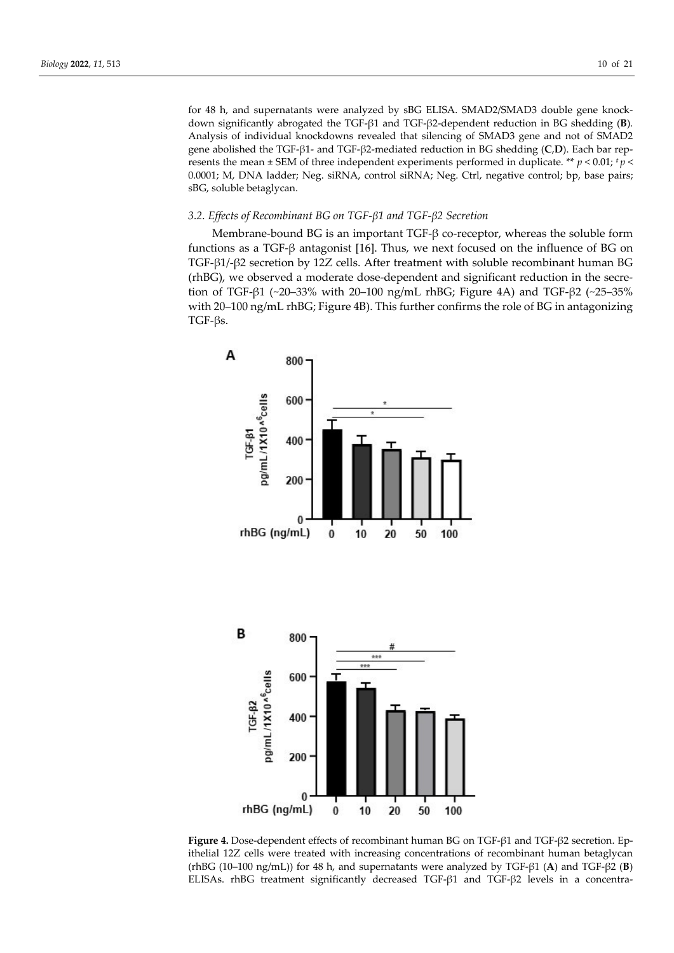for 48 h, and supernatants were analyzed by sBG ELISA. SMAD2/SMAD3 double gene knockdown significantly abrogated the TGF-β1 and TGF-β2-dependent reduction in BG shedding (**B**). Analysis of individual knockdowns revealed that silencing of SMAD3 gene and not of SMAD2 gene abolished the TGF-β1- and TGF-β2-mediated reduction in BG shedding (**C**,**D**). Each bar represents the mean  $\pm$  SEM of three independent experiments performed in duplicate. \*\* *p* < 0.01; *\* p* < 0.0001; M, DNA ladder; Neg. siRNA, control siRNA; Neg. Ctrl, negative control; bp, base pairs; sBG, soluble betaglycan.

# *3.2. Effects of Recombinant BG on TGF-β1 and TGF-β2 Secretion*

Membrane-bound BG is an important  $TGF-\beta$  co-receptor, whereas the soluble form functions as a TGF-β antagonist [16]. Thus, we next focused on the influence of BG on TGF-β1/-β2 secretion by 12Z cells. After treatment with soluble recombinant human BG (rhBG), we observed a moderate dose-dependent and significant reduction in the secretion of TGF-β1 (~20–33% with 20–100 ng/mL rhBG; Figure 4A) and TGF-β2 (~25–35% with 20–100 ng/mL rhBG; Figure 4B). This further confirms the role of BG in antagonizing TGF-βs.



**Figure 4.** Dose-dependent effects of recombinant human BG on TGF-β1 and TGF-β2 secretion. Epithelial 12Z cells were treated with increasing concentrations of recombinant human betaglycan (rhBG (10–100 ng/mL)) for 48 h, and supernatants were analyzed by TGF-β1 (**A**) and TGF-β2 (**B**) ELISAs. rhBG treatment significantly decreased TGF-β1 and TGF-β2 levels in a concentra-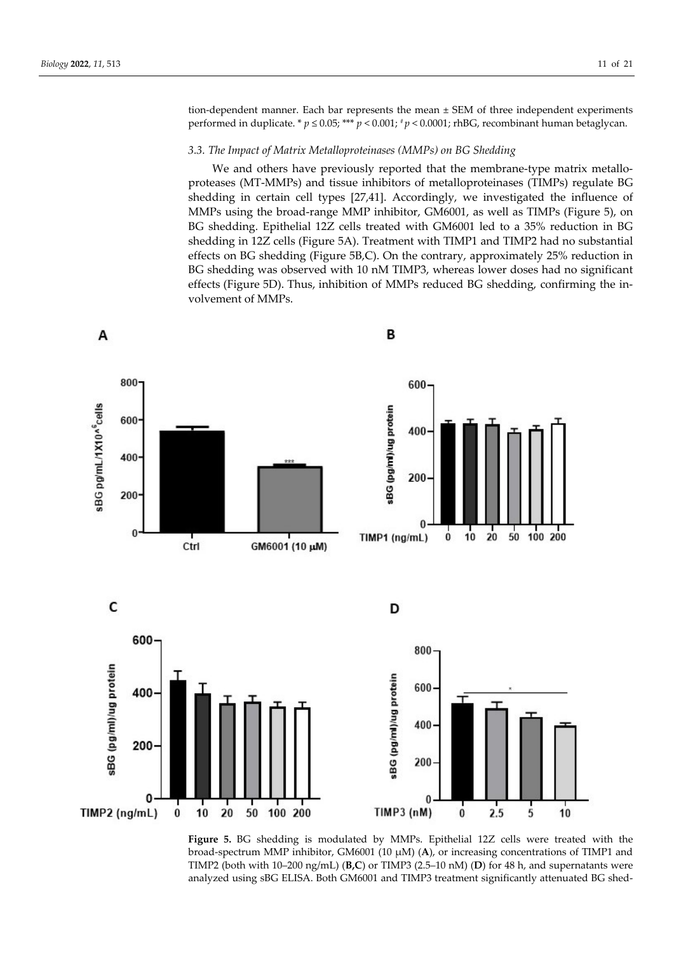tion-dependent manner. Each bar represents the mean ± SEM of three independent experiments performed in duplicate. \* *p* ≤ 0.05; \*\*\* *p* < 0.001; # *p* < 0.0001; rhBG, recombinant human betaglycan.

### *3.3. The Impact of Matrix Metalloproteinases (MMPs) on BG Shedding*

We and others have previously reported that the membrane-type matrix metalloproteases (MT-MMPs) and tissue inhibitors of metalloproteinases (TIMPs) regulate BG shedding in certain cell types [27,41]. Accordingly, we investigated the influence of MMPs using the broad-range MMP inhibitor, GM6001, as well as TIMPs (Figure 5), on BG shedding. Epithelial 12Z cells treated with GM6001 led to a 35% reduction in BG shedding in 12Z cells (Figure 5A). Treatment with TIMP1 and TIMP2 had no substantial effects on BG shedding (Figure 5B,C). On the contrary, approximately 25% reduction in BG shedding was observed with 10 nM TIMP3, whereas lower doses had no significant effects (Figure 5D). Thus, inhibition of MMPs reduced BG shedding, confirming the involvement of MMPs.



**Figure 5.** BG shedding is modulated by MMPs. Epithelial 12Z cells were treated with the broad-spectrum MMP inhibitor, GM6001 (10 µM) (**A**), or increasing concentrations of TIMP1 and TIMP2 (both with 10–200 ng/mL) (**B,C**) or TIMP3 (2.5–10 nM) (**D**) for 48 h, and supernatants were analyzed using sBG ELISA. Both GM6001 and TIMP3 treatment significantly attenuated BG shed-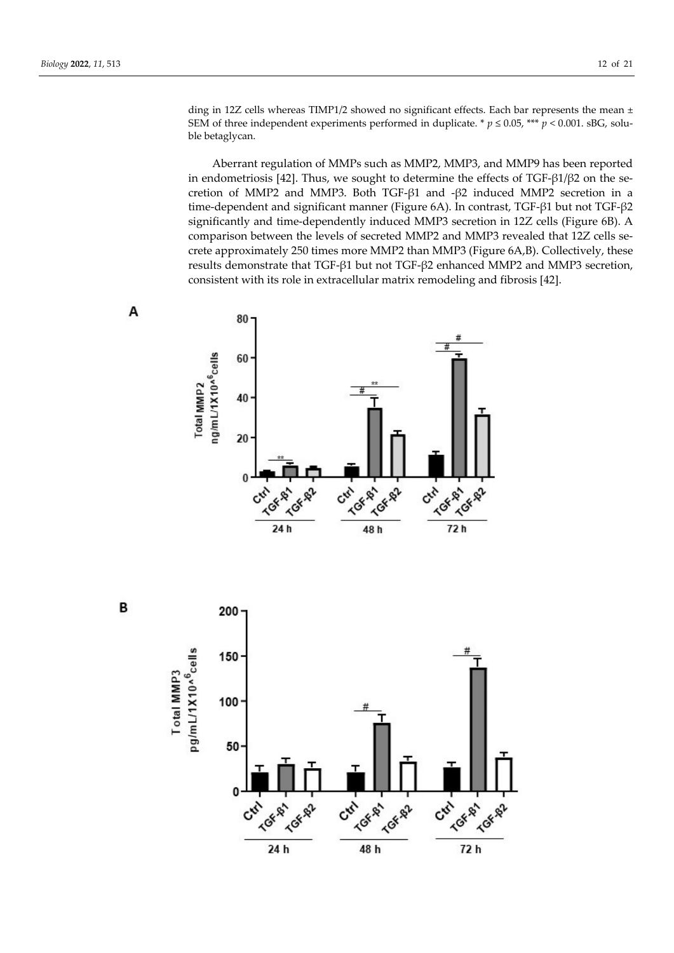ding in 12Z cells whereas TIMP1/2 showed no significant effects. Each bar represents the mean  $\pm$ SEM of three independent experiments performed in duplicate. \*  $p \le 0.05$ , \*\*\*  $p < 0.001$ . sBG, soluble betaglycan.

Aberrant regulation of MMPs such as MMP2, MMP3, and MMP9 has been reported in endometriosis [42]. Thus, we sought to determine the effects of  $TGF- $\beta$ 1/ $\beta$ 2 on the se$ cretion of MMP2 and MMP3. Both TGF-β1 and -β2 induced MMP2 secretion in a time-dependent and significant manner (Figure 6A). In contrast, TGF-β1 but not TGF-β2 significantly and time-dependently induced MMP3 secretion in 12Z cells (Figure 6B). A comparison between the levels of secreted MMP2 and MMP3 revealed that 12Z cells secrete approximately 250 times more MMP2 than MMP3 (Figure 6A,B). Collectively, these results demonstrate that TGF-β1 but not TGF-β2 enhanced MMP2 and MMP3 secretion, consistent with its role in extracellular matrix remodeling and fibrosis [42].







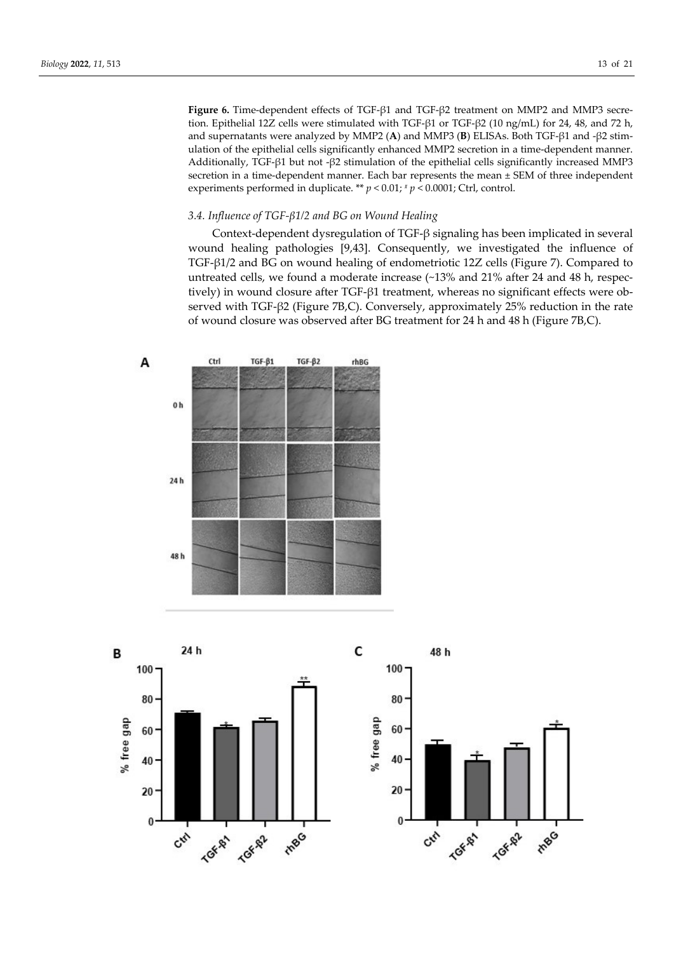**Figure 6.** Time-dependent effects of TGF-β1 and TGF-β2 treatment on MMP2 and MMP3 secretion. Epithelial 12Z cells were stimulated with TGF-β1 or TGF-β2 (10 ng/mL) for 24, 48, and 72 h, and supernatants were analyzed by MMP2 (**A**) and MMP3 (**B**) ELISAs. Both TGF-β1 and -β2 stimulation of the epithelial cells significantly enhanced MMP2 secretion in a time-dependent manner. Additionally, TGF-β1 but not -β2 stimulation of the epithelial cells significantly increased MMP3 secretion in a time-dependent manner. Each bar represents the mean ± SEM of three independent experiments performed in duplicate. \*\*  $p < 0.01$ ;  $\frac{p}{q} < 0.0001$ ; Ctrl, control.

# *3.4. Influence of TGF-β1/2 and BG on Wound Healing*

Context-dependent dysregulation of TGF-β signaling has been implicated in several wound healing pathologies [9,43]. Consequently, we investigated the influence of TGF-β1/2 and BG on wound healing of endometriotic 12Z cells (Figure 7). Compared to untreated cells, we found a moderate increase (~13% and 21% after 24 and 48 h, respectively) in wound closure after TGF-β1 treatment, whereas no significant effects were observed with TGF-β2 (Figure 7B,C). Conversely, approximately 25% reduction in the rate of wound closure was observed after BG treatment for 24 h and 48 h (Figure 7B,C).



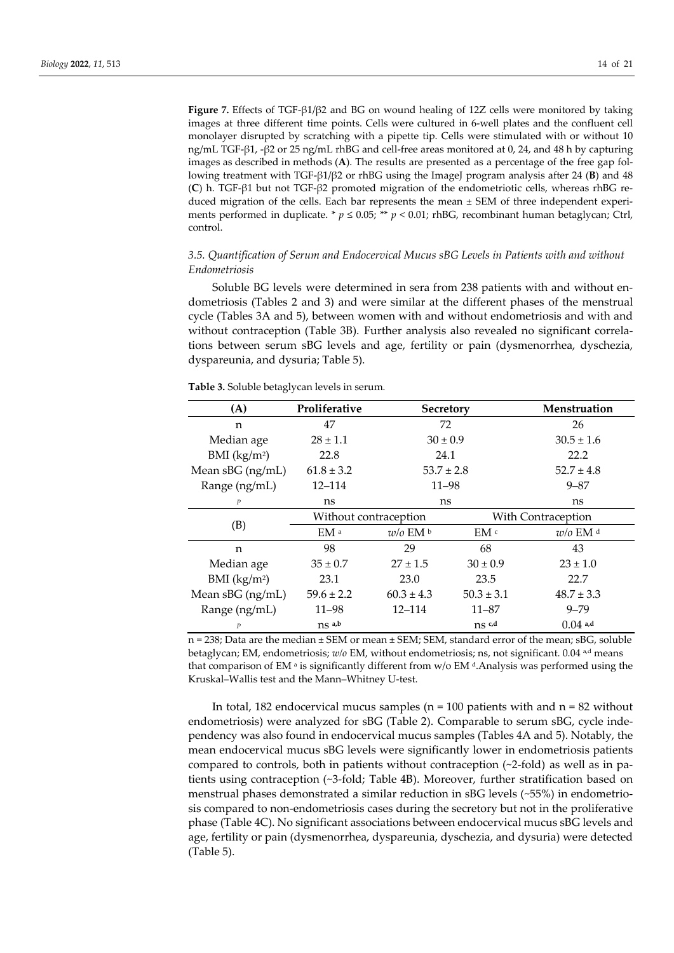**Figure 7.** Effects of TGF-β1/β2 and BG on wound healing of 12Z cells were monitored by taking images at three different time points. Cells were cultured in 6-well plates and the confluent cell monolayer disrupted by scratching with a pipette tip. Cells were stimulated with or without 10 ng/mL TGF-β1, -β2 or 25 ng/mL rhBG and cell-free areas monitored at 0, 24, and 48 h by capturing images as described in methods (**A**). The results are presented as a percentage of the free gap following treatment with TGF-β1/β2 or rhBG using the ImageJ program analysis after 24 (**B**) and 48 (**C**) h. TGF-β1 but not TGF-β2 promoted migration of the endometriotic cells, whereas rhBG reduced migration of the cells. Each bar represents the mean ± SEM of three independent experiments performed in duplicate. \*  $p \le 0.05$ ; \*\*  $p < 0.01$ ; rhBG, recombinant human betaglycan; Ctrl, control.

# *3.5. Quantification of Serum and Endocervical Mucus sBG Levels in Patients with and without Endometriosis*

Soluble BG levels were determined in sera from 238 patients with and without endometriosis (Tables 2 and 3) and were similar at the different phases of the menstrual cycle (Tables 3A and 5), between women with and without endometriosis and with and without contraception (Table 3B). Further analysis also revealed no significant correlations between serum sBG levels and age, fertility or pain (dysmenorrhea, dyschezia, dyspareunia, and dysuria; Table 5).

**Table 3.** Soluble betaglycan levels in serum*.*

| (A)                      | Proliferative                    | Secretory                        |                     | Menstruation          |  |
|--------------------------|----------------------------------|----------------------------------|---------------------|-----------------------|--|
| n                        | 47                               | 72                               |                     | 26                    |  |
| Median age               | $28 \pm 1.1$                     | $30 \pm 0.9$                     |                     | $30.5 \pm 1.6$        |  |
| BMI (kg/m <sup>2</sup> ) | 22.8                             | 24.1                             |                     | 22.2                  |  |
| Mean sBG (ng/mL)         | $61.8 \pm 3.2$                   | $53.7 \pm 2.8$                   |                     | $52.7 \pm 4.8$        |  |
| Range (ng/mL)            | $12 - 114$                       | $11 - 98$                        |                     | $9 - 87$              |  |
| P                        | ns                               | ns                               |                     | ns                    |  |
|                          | Without contraception            |                                  |                     | With Contraception    |  |
| (B)                      | EM <sup>a</sup>                  | $w/o$ EM $\rm ^b$                | EM <sup>c</sup>     | $w/o$ EM <sup>d</sup> |  |
| n                        | 98                               | 29                               | 68                  | 43                    |  |
| Median age               | $35 \pm 0.7$                     | $27 \pm 1.5$                     | $30 \pm 0.9$        | $23 \pm 1.0$          |  |
| BMI (kg/m <sup>2</sup> ) | 23.1                             | 23.0<br>23.5                     |                     | 22.7                  |  |
| Mean $sBG$ (ng/mL)       | $59.6 \pm 2.2$                   | $60.3 \pm 4.3$<br>$50.3 \pm 3.1$ |                     | $48.7 \pm 3.3$        |  |
| Range (ng/mL)            | 11–98                            | $12 - 114$<br>$11 - 87$          |                     | $9 - 79$              |  |
| P                        | $ns$ <sup><math>a,b</math></sup> |                                  | $ns$ <sub>c,d</sub> | $0.04$ a,d            |  |

n = 238; Data are the median ± SEM or mean ± SEM; SEM, standard error of the mean; sBG, soluble betaglycan; EM, endometriosis; *w/o* EM, without endometriosis; ns, not significant. 0.04 <sup>a,d</sup> means that comparison of EM  $\alpha$  is significantly different from  $w/o$  EM  $\alpha$ . Analysis was performed using the Kruskal–Wallis test and the Mann–Whitney U-test.

In total, 182 endocervical mucus samples ( $n = 100$  patients with and  $n = 82$  without endometriosis) were analyzed for sBG (Table 2). Comparable to serum sBG, cycle independency was also found in endocervical mucus samples (Tables 4A and 5). Notably, the mean endocervical mucus sBG levels were significantly lower in endometriosis patients compared to controls, both in patients without contraception (~2-fold) as well as in patients using contraception (~3-fold; Table 4B). Moreover, further stratification based on menstrual phases demonstrated a similar reduction in sBG levels (~55%) in endometriosis compared to non-endometriosis cases during the secretory but not in the proliferative phase (Table 4C). No significant associations between endocervical mucus sBG levels and age, fertility or pain (dysmenorrhea, dyspareunia, dyschezia, and dysuria) were detected (Table 5).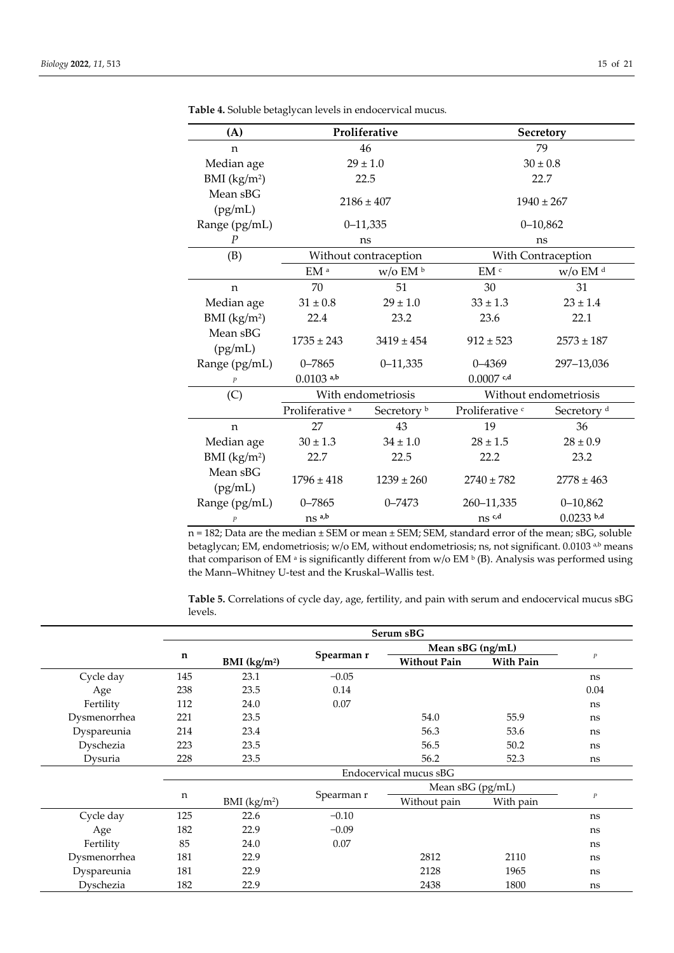| (A)                      |                            | Proliferative           |                            | Secretory              |  |  |
|--------------------------|----------------------------|-------------------------|----------------------------|------------------------|--|--|
| n                        |                            | 46                      |                            | 79                     |  |  |
| Median age               |                            | $29 \pm 1.0$            |                            | $30 \pm 0.8$           |  |  |
| BMI (kg/m <sup>2</sup> ) |                            | 22.5                    |                            | 22.7                   |  |  |
| Mean sBG<br>(pg/mL)      |                            | $2186 \pm 407$          |                            | $1940 \pm 267$         |  |  |
| Range (pg/mL)            |                            | $0 - 11,335$            |                            | $0 - 10,862$           |  |  |
| $\boldsymbol{P}$         |                            | ns                      |                            | ns                     |  |  |
| (B)                      |                            | Without contraception   |                            | With Contraception     |  |  |
|                          | $EM^a$                     | $\rm w/o$ EM $^{\rm b}$ | $EM$ $^{\rm c}$            | w/o EM <sup>d</sup>    |  |  |
| n                        | 70                         | 51                      | 30                         | 31                     |  |  |
| Median age               | $31 \pm 0.8$               | $29 \pm 1.0$            | $33 \pm 1.3$               | $23 \pm 1.4$           |  |  |
| BMI (kg/m <sup>2</sup> ) | 22.4                       | 23.2                    | 23.6                       | 22.1                   |  |  |
| Mean sBG<br>(pg/mL)      | $1735 \pm 243$             | $3419 \pm 454$          | $912 \pm 523$              | $2573 \pm 187$         |  |  |
| Range (pg/mL)            | $0 - 7865$                 | $0 - 11,335$            | $0 - 4369$                 | 297-13,036             |  |  |
| $\overline{P}$           | $0.0103$ a,b               |                         |                            |                        |  |  |
| (C)                      |                            | With endometriosis      | Without endometriosis      |                        |  |  |
|                          | Proliferative <sup>a</sup> | Secretory <sup>b</sup>  | Proliferative <sup>c</sup> | Secretory <sup>d</sup> |  |  |
| $\mathbf n$              | 27                         | 43                      | 19                         | 36                     |  |  |
| Median age               | $30 \pm 1.3$               | $34 \pm 1.0$            | $28 \pm 1.5$               | $28 \pm 0.9$           |  |  |
| BMI $(kg/m2)$            | 22.7                       | 22.5                    | 22.2                       | 23.2                   |  |  |
| Mean sBG<br>(pg/mL)      | $1796 \pm 418$             | $1239 \pm 260$          | $2740 \pm 782$             | $2778 \pm 463$         |  |  |
| Range (pg/mL)            | $0 - 7865$                 | $0 - 7473$              | 260-11,335                 | $0 - 10,862$           |  |  |
| $\boldsymbol{P}$         | ns a,b                     |                         | $ns$ <sup>c,d</sup>        | $0.0233$ b,d           |  |  |

**Table 4.** Soluble betaglycan levels in endocervical mucus*.* 

n = 182; Data are the median ± SEM or mean ± SEM; SEM, standard error of the mean; sBG, soluble betaglycan; EM, endometriosis; w/o EM, without endometriosis; ns, not significant. 0.0103 a,b means that comparison of EM<sup>a</sup> is significantly different from w/o EM<sup>b</sup> (B). Analysis was performed using the Mann–Whitney U-test and the Kruskal–Wallis test.

**Table 5.** Correlations of cycle day, age, fertility, and pain with serum and endocervical mucus sBG levels.

|              | Serum sBG   |                        |            |                     |                  |          |
|--------------|-------------|------------------------|------------|---------------------|------------------|----------|
|              |             |                        |            | Mean $sBG$ (ng/mL)  |                  |          |
|              | $\mathbf n$ | BMI $(kg/m2)$          | Spearman r | <b>Without Pain</b> | <b>With Pain</b> | $\cal P$ |
| Cycle day    | 145         | 23.1                   | $-0.05$    |                     |                  | ns       |
| Age          | 238         | 23.5                   | 0.14       |                     |                  | 0.04     |
| Fertility    | 112         | 24.0                   | 0.07       |                     |                  | ns       |
| Dysmenorrhea | 221         | 23.5                   |            | 54.0                | 55.9             | ns       |
| Dyspareunia  | 214         | 23.4                   |            | 56.3                | 53.6             | ns       |
| Dyschezia    | 223         | 23.5                   |            | 56.5                | 50.2             | ns       |
| Dysuria      | 228         | 23.5                   |            | 56.2                | 52.3             | ns       |
|              |             | Endocervical mucus sBG |            |                     |                  |          |
|              |             |                        |            | Mean sBG (pg/mL)    |                  |          |
|              | n           | BMI $(kg/m2)$          | Spearman r | Without pain        | With pain        | $\cal P$ |
| Cycle day    | 125         | 22.6                   | $-0.10$    |                     |                  | ns       |
| Age          | 182         | 22.9                   | $-0.09$    |                     |                  | ns       |
| Fertility    | 85          | 24.0                   | 0.07       |                     |                  | ns       |
| Dysmenorrhea | 181         | 22.9                   |            | 2812                | 2110             | ns       |
| Dyspareunia  | 181         | 22.9                   |            | 2128                | 1965             | ns       |
| Dyschezia    | 182         | 22.9                   |            | 2438                | 1800             | ns       |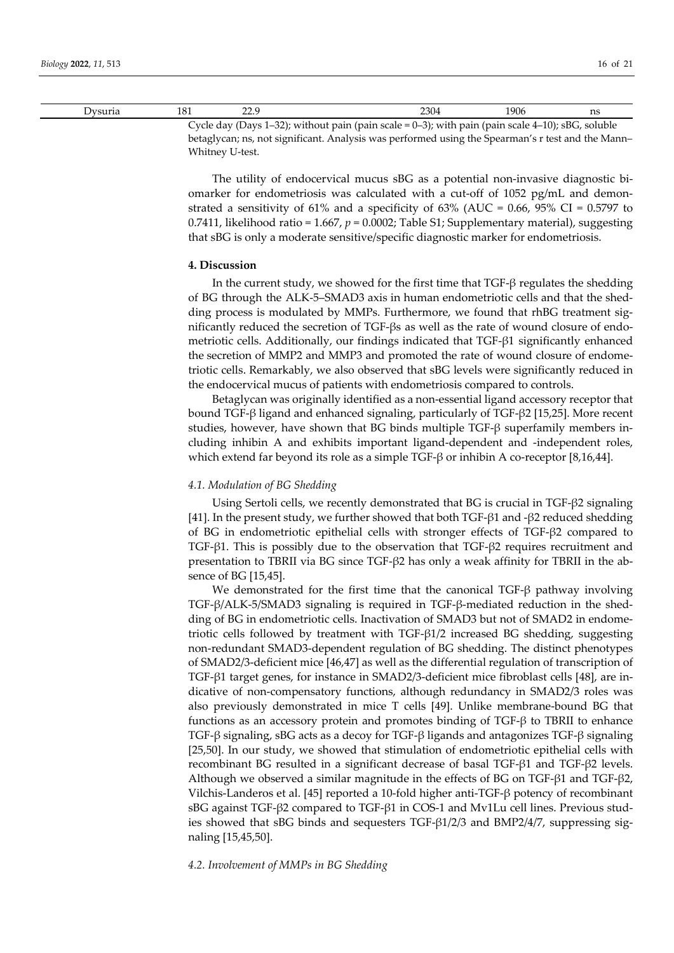| Jvsuria                                                                                              |  |  | 2304 | 1906 | ns |
|------------------------------------------------------------------------------------------------------|--|--|------|------|----|
| Cycle day (Days 1–32); without pain (pain scale = $0-3$ ); with pain (pain scale 4–10); sBG, soluble |  |  |      |      |    |

betaglycan; ns, not significant. Analysis was performed using the Spearman's r test and the Mann– Whitney U-test.

The utility of endocervical mucus sBG as a potential non-invasive diagnostic biomarker for endometriosis was calculated with a cut-off of 1052 pg/mL and demonstrated a sensitivity of 61% and a specificity of 63% (AUC =  $0.66$ , 95% CI =  $0.5797$  to 0.7411, likelihood ratio = 1.667, *p* = 0.0002; Table S1; Supplementary material), suggesting that sBG is only a moderate sensitive/specific diagnostic marker for endometriosis.

# **4. Discussion**

In the current study, we showed for the first time that  $TGF-\beta$  regulates the shedding of BG through the ALK-5–SMAD3 axis in human endometriotic cells and that the shedding process is modulated by MMPs. Furthermore, we found that rhBG treatment significantly reduced the secretion of TGF-βs as well as the rate of wound closure of endometriotic cells. Additionally, our findings indicated that TGF-β1 significantly enhanced the secretion of MMP2 and MMP3 and promoted the rate of wound closure of endometriotic cells. Remarkably, we also observed that sBG levels were significantly reduced in the endocervical mucus of patients with endometriosis compared to controls.

Betaglycan was originally identified as a non-essential ligand accessory receptor that bound TGF-β ligand and enhanced signaling, particularly of TGF-β2 [15,25]. More recent studies, however, have shown that BG binds multiple TGF-β superfamily members including inhibin A and exhibits important ligand-dependent and -independent roles, which extend far beyond its role as a simple TGF-β or inhibin A co-receptor [8,16,44].

#### *4.1. Modulation of BG Shedding*

Using Sertoli cells, we recently demonstrated that BG is crucial in TGF-β2 signaling [41]. In the present study, we further showed that both TGF-β1 and -β2 reduced shedding of BG in endometriotic epithelial cells with stronger effects of TGF-β2 compared to TGF-β1. This is possibly due to the observation that TGF-β2 requires recruitment and presentation to TBRII via BG since TGF-β2 has only a weak affinity for TBRII in the absence of BG [15,45].

We demonstrated for the first time that the canonical TGF- $\beta$  pathway involving TGF-β/ALK-5/SMAD3 signaling is required in TGF-β-mediated reduction in the shedding of BG in endometriotic cells. Inactivation of SMAD3 but not of SMAD2 in endometriotic cells followed by treatment with TGF-β1/2 increased BG shedding, suggesting non-redundant SMAD3-dependent regulation of BG shedding. The distinct phenotypes of SMAD2/3-deficient mice [46,47] as well as the differential regulation of transcription of TGF-β1 target genes, for instance in SMAD2/3-deficient mice fibroblast cells [48], are indicative of non-compensatory functions, although redundancy in SMAD2/3 roles was also previously demonstrated in mice T cells [49]. Unlike membrane-bound BG that functions as an accessory protein and promotes binding of TGF-β to TBRII to enhance TGF-β signaling, sBG acts as a decoy for TGF-β ligands and antagonizes TGF-β signaling [25,50]. In our study, we showed that stimulation of endometriotic epithelial cells with recombinant BG resulted in a significant decrease of basal TGF-β1 and TGF-β2 levels. Although we observed a similar magnitude in the effects of BG on TGF-β1 and TGF-β2, Vilchis-Landeros et al. [45] reported a 10-fold higher anti-TGF-β potency of recombinant sBG against TGF-β2 compared to TGF-β1 in COS-1 and Mv1Lu cell lines. Previous studies showed that sBG binds and sequesters TGF-β1/2/3 and BMP2/4/7, suppressing signaling [15,45,50].

*4.2. Involvement of MMPs in BG Shedding*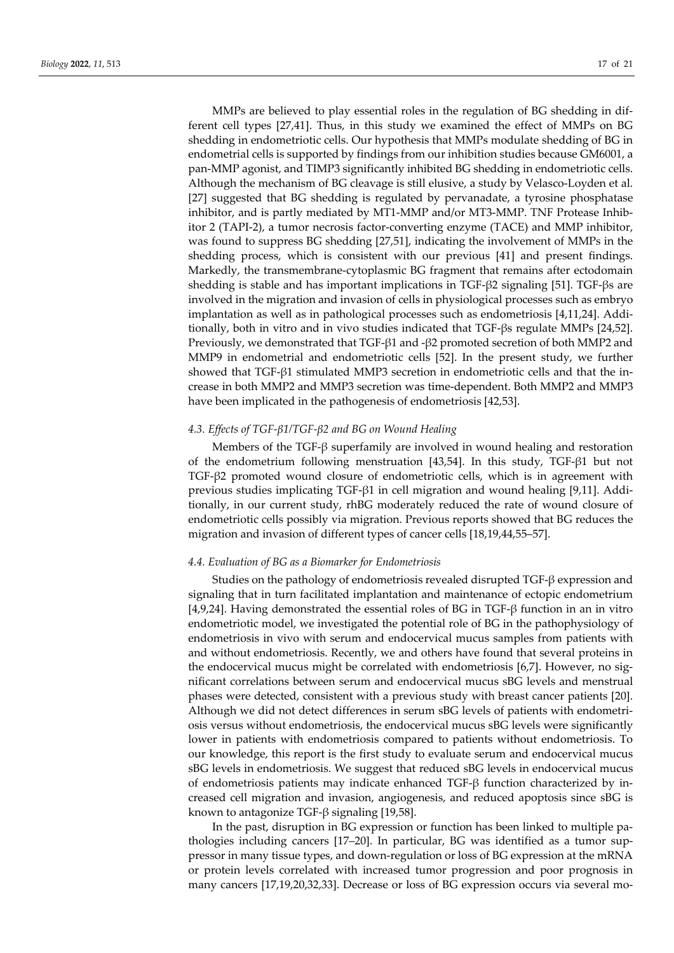MMPs are believed to play essential roles in the regulation of BG shedding in different cell types [27,41]. Thus, in this study we examined the effect of MMPs on BG shedding in endometriotic cells. Our hypothesis that MMPs modulate shedding of BG in endometrial cells is supported by findings from our inhibition studies because GM6001, a pan-MMP agonist, and TIMP3 significantly inhibited BG shedding in endometriotic cells. Although the mechanism of BG cleavage is still elusive, a study by Velasco-Loyden et al. [27] suggested that BG shedding is regulated by pervanadate, a tyrosine phosphatase inhibitor, and is partly mediated by MT1-MMP and/or MT3-MMP. TNF Protease Inhibitor 2 (TAPI-2), a tumor necrosis factor-converting enzyme (TACE) and MMP inhibitor, was found to suppress BG shedding [27,51], indicating the involvement of MMPs in the shedding process, which is consistent with our previous [41] and present findings. Markedly, the transmembrane-cytoplasmic BG fragment that remains after ectodomain shedding is stable and has important implications in TGF-β2 signaling [51]. TGF-βs are involved in the migration and invasion of cells in physiological processes such as embryo implantation as well as in pathological processes such as endometriosis [4,11,24]. Additionally, both in vitro and in vivo studies indicated that TGF-βs regulate MMPs [24,52]. Previously, we demonstrated that TGF-β1 and -β2 promoted secretion of both MMP2 and MMP9 in endometrial and endometriotic cells [52]. In the present study, we further showed that TGF-β1 stimulated MMP3 secretion in endometriotic cells and that the increase in both MMP2 and MMP3 secretion was time-dependent. Both MMP2 and MMP3 have been implicated in the pathogenesis of endometriosis [42,53].

# *4.3. Effects of TGF-β1/TGF-β2 and BG on Wound Healing*

Members of the TGF- $\beta$  superfamily are involved in wound healing and restoration of the endometrium following menstruation [43,54]. In this study, TGF-β1 but not TGF-β2 promoted wound closure of endometriotic cells, which is in agreement with previous studies implicating TGF-β1 in cell migration and wound healing [9,11]. Additionally, in our current study, rhBG moderately reduced the rate of wound closure of endometriotic cells possibly via migration. Previous reports showed that BG reduces the migration and invasion of different types of cancer cells [18,19,44,55–57].

## *4.4. Evaluation of BG as a Biomarker for Endometriosis*

Studies on the pathology of endometriosis revealed disrupted TGF-β expression and signaling that in turn facilitated implantation and maintenance of ectopic endometrium [4,9,24]. Having demonstrated the essential roles of BG in TGF-β function in an in vitro endometriotic model, we investigated the potential role of BG in the pathophysiology of endometriosis in vivo with serum and endocervical mucus samples from patients with and without endometriosis. Recently, we and others have found that several proteins in the endocervical mucus might be correlated with endometriosis [6,7]. However, no significant correlations between serum and endocervical mucus sBG levels and menstrual phases were detected, consistent with a previous study with breast cancer patients [20]. Although we did not detect differences in serum sBG levels of patients with endometriosis versus without endometriosis, the endocervical mucus sBG levels were significantly lower in patients with endometriosis compared to patients without endometriosis. To our knowledge, this report is the first study to evaluate serum and endocervical mucus sBG levels in endometriosis. We suggest that reduced sBG levels in endocervical mucus of endometriosis patients may indicate enhanced TGF-β function characterized by increased cell migration and invasion, angiogenesis, and reduced apoptosis since sBG is known to antagonize TGF-β signaling [19,58].

In the past, disruption in BG expression or function has been linked to multiple pathologies including cancers [17–20]. In particular, BG was identified as a tumor suppressor in many tissue types, and down-regulation or loss of BG expression at the mRNA or protein levels correlated with increased tumor progression and poor prognosis in many cancers [17,19,20,32,33]. Decrease or loss of BG expression occurs via several mo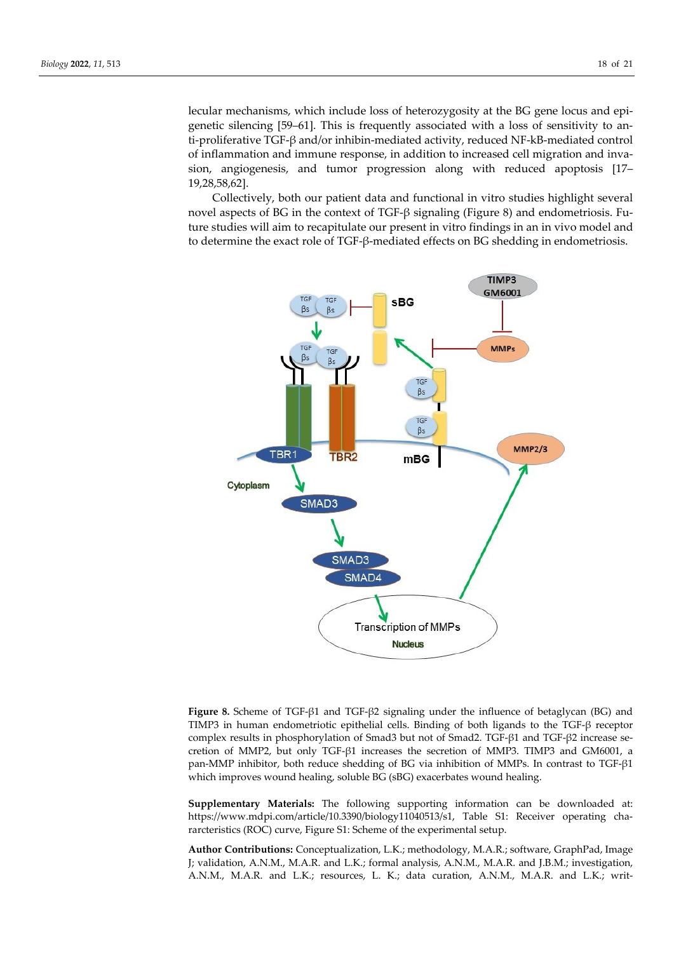lecular mechanisms, which include loss of heterozygosity at the BG gene locus and epigenetic silencing [59–61]. This is frequently associated with a loss of sensitivity to anti-proliferative TGF-β and/or inhibin-mediated activity, reduced NF-kB-mediated control of inflammation and immune response, in addition to increased cell migration and invasion, angiogenesis, and tumor progression along with reduced apoptosis [17– 19,28,58,62].

Collectively, both our patient data and functional in vitro studies highlight several novel aspects of BG in the context of TGF-β signaling (Figure 8) and endometriosis. Future studies will aim to recapitulate our present in vitro findings in an in vivo model and to determine the exact role of TGF-β-mediated effects on BG shedding in endometriosis.



**Figure 8.** Scheme of TGF-β1 and TGF-β2 signaling under the influence of betaglycan (BG) and TIMP3 in human endometriotic epithelial cells. Binding of both ligands to the TGF-β receptor complex results in phosphorylation of Smad3 but not of Smad2. TGF-β1 and TGF-β2 increase secretion of MMP2, but only TGF-β1 increases the secretion of MMP3. TIMP3 and GM6001, a pan-MMP inhibitor, both reduce shedding of BG via inhibition of MMPs. In contrast to TGF-β1 which improves wound healing, soluble BG (sBG) exacerbates wound healing.

**Supplementary Materials:** The following supporting information can be downloaded at: https://www.mdpi.com/article/10.3390/biology11040513/s1, Table S1: Receiver operating chararcteristics (ROC) curve, Figure S1: Scheme of the experimental setup.

**Author Contributions:** Conceptualization, L.K.; methodology, M.A.R.; software, GraphPad, Image J; validation, A.N.M., M.A.R. and L.K.; formal analysis, A.N.M., M.A.R. and J.B.M.; investigation, A.N.M., M.A.R. and L.K.; resources, L. K.; data curation, A.N.M., M.A.R. and L.K.; writ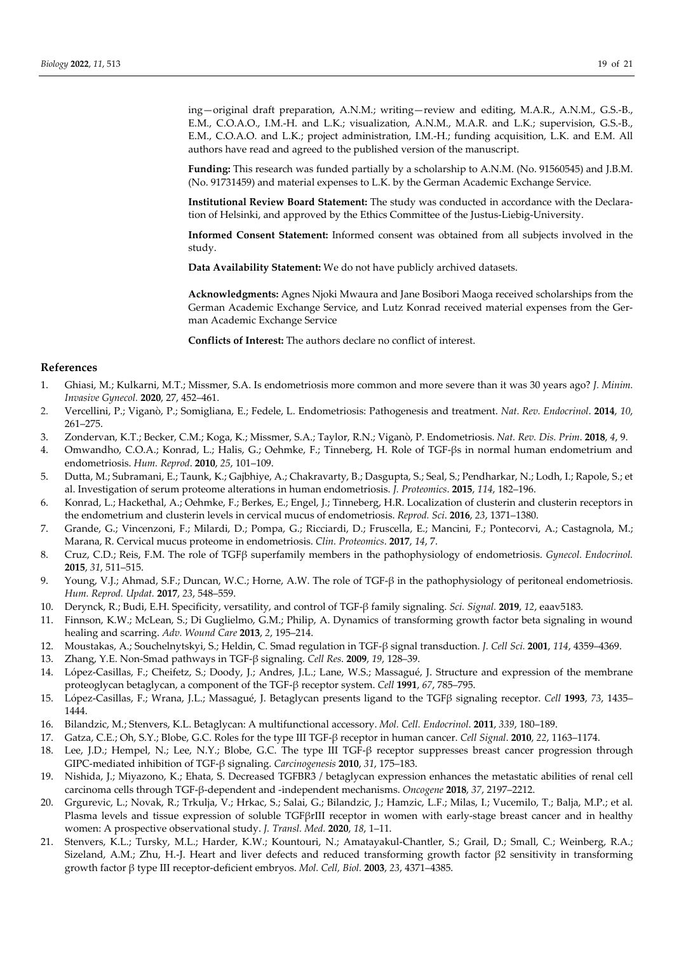ing—original draft preparation, A.N.M.; writing—review and editing, M.A.R., A.N.M., G.S.-B., E.M., C.O.A.O., I.M.-H. and L.K.; visualization, A.N.M., M.A.R. and L.K.; supervision, G.S.-B., E.M., C.O.A.O. and L.K.; project administration, I.M.-H.; funding acquisition, L.K. and E.M. All authors have read and agreed to the published version of the manuscript.

**Funding:** This research was funded partially by a scholarship to A.N.M. (No. 91560545) and J.B.M. (No. 91731459) and material expenses to L.K. by the German Academic Exchange Service.

**Institutional Review Board Statement:** The study was conducted in accordance with the Declaration of Helsinki, and approved by the Ethics Committee of the Justus-Liebig-University.

**Informed Consent Statement:** Informed consent was obtained from all subjects involved in the study.

**Data Availability Statement:** We do not have publicly archived datasets.

**Acknowledgments:** Agnes Njoki Mwaura and Jane Bosibori Maoga received scholarships from the German Academic Exchange Service, and Lutz Konrad received material expenses from the German Academic Exchange Service

**Conflicts of Interest:** The authors declare no conflict of interest.

## **References**

- 1. Ghiasi, M.; Kulkarni, M.T.; Missmer, S.A. Is endometriosis more common and more severe than it was 30 years ago? *J. Minim. Invasive Gynecol.* **2020**, 27, 452–461.
- 2. Vercellini, P.; Viganò, P.; Somigliana, E.; Fedele, L. Endometriosis: Pathogenesis and treatment. *Nat. Rev. Endocrinol*. **2014**, *10*, 261–275.
- 3. Zondervan, K.T.; Becker, C.M.; Koga, K.; Missmer, S.A.; Taylor, R.N.; Viganò, P. Endometriosis. *Nat. Rev. Dis. Prim*. **2018**, *4*, 9.
- 4. Omwandho, C.O.A.; Konrad, L.; Halis, G.; Oehmke, F.; Tinneberg, H. Role of TGF-βs in normal human endometrium and endometriosis. *Hum. Reprod*. **2010**, *25*, 101–109.
- 5. Dutta, M.; Subramani, E.; Taunk, K.; Gajbhiye, A.; Chakravarty, B.; Dasgupta, S.; Seal, S.; Pendharkar, N.; Lodh, I.; Rapole, S.; et al. Investigation of serum proteome alterations in human endometriosis. *J. Proteomics*. **2015**, *114*, 182–196.
- 6. Konrad, L.; Hackethal, A.; Oehmke, F.; Berkes, E.; Engel, J.; Tinneberg, H.R. Localization of clusterin and clusterin receptors in the endometrium and clusterin levels in cervical mucus of endometriosis. *Reprod. Sci*. **2016**, *23*, 1371–1380.
- 7. Grande, G.; Vincenzoni, F.; Milardi, D.; Pompa, G.; Ricciardi, D.; Fruscella, E.; Mancini, F.; Pontecorvi, A.; Castagnola, M.; Marana, R. Cervical mucus proteome in endometriosis. *Clin. Proteomics*. **2017**, *14*, 7.
- 8. Cruz, C.D.; Reis, F.M. The role of TGFβ superfamily members in the pathophysiology of endometriosis. *Gynecol. Endocrinol.* **2015**, *31*, 511–515.
- 9. Young, V.J.; Ahmad, S.F.; Duncan, W.C.; Horne, A.W. The role of TGF-β in the pathophysiology of peritoneal endometriosis. *Hum. Reprod. Updat.* **2017**, *23*, 548–559.
- 10. Derynck, R.; Budi, E.H. Specificity, versatility, and control of TGF-β family signaling. *Sci. Signal.* **2019**, *12*, eaav5183.
- 11. Finnson, K.W.; McLean, S.; Di Guglielmo, G.M.; Philip, A. Dynamics of transforming growth factor beta signaling in wound healing and scarring. *Adv. Wound Care* **2013**, *2*, 195–214.
- 12. Moustakas, A.; Souchelnytskyi, S.; Heldin, C. Smad regulation in TGF-β signal transduction. *J. Cell Sci.* **2001**, *114*, 4359–4369.
- 13. Zhang, Y.E. Non-Smad pathways in TGF-β signaling. *Cell Res*. **2009**, *19*, 128–39.
- 14. López-Casillas, F.; Cheifetz, S.; Doody, J.; Andres, J.L.; Lane, W.S.; Massagué, J. Structure and expression of the membrane proteoglycan betaglycan, a component of the TGF-β receptor system. *Cell* **1991**, *67*, 785–795.
- 15. López-Casillas, F.; Wrana, J.L.; Massagué, J. Betaglycan presents ligand to the TGFβ signaling receptor. *Cell* **1993**, *73*, 1435– 1444.
- 16. Bilandzic, M.; Stenvers, K.L. Betaglycan: A multifunctional accessory. *Mol. Cell. Endocrinol*. **2011**, *339*, 180–189.
- 17. Gatza, C.E.; Oh, S.Y.; Blobe, G.C. Roles for the type III TGF-β receptor in human cancer. *Cell Signal*. **2010**, *22*, 1163–1174.
- 18. Lee, J.D.; Hempel, N.; Lee, N.Y.; Blobe, G.C. The type III TGF-β receptor suppresses breast cancer progression through GIPC-mediated inhibition of TGF-β signaling. *Carcinogenesis* **2010**, *31*, 175–183.
- 19. Nishida, J.; Miyazono, K.; Ehata, S. Decreased TGFBR3 / betaglycan expression enhances the metastatic abilities of renal cell carcinoma cells through TGF-β-dependent and -independent mechanisms. *Oncogene* **2018**, *37*, 2197–2212.
- 20. Grgurevic, L.; Novak, R.; Trkulja, V.; Hrkac, S.; Salai, G.; Bilandzic, J.; Hamzic, L.F.; Milas, I.; Vucemilo, T.; Balja, M.P.; et al. Plasma levels and tissue expression of soluble TGFβrIII receptor in women with early-stage breast cancer and in healthy women: A prospective observational study. *J. Transl. Med.* **2020**, *18*, 1–11.
- 21. Stenvers, K.L.; Tursky, M.L.; Harder, K.W.; Kountouri, N.; Amatayakul-Chantler, S.; Grail, D.; Small, C.; Weinberg, R.A.; Sizeland, A.M.; Zhu, H.-J. Heart and liver defects and reduced transforming growth factor β2 sensitivity in transforming growth factor β type III receptor-deficient embryos. *Mol. Cell, Biol.* **2003**, *23*, 4371–4385.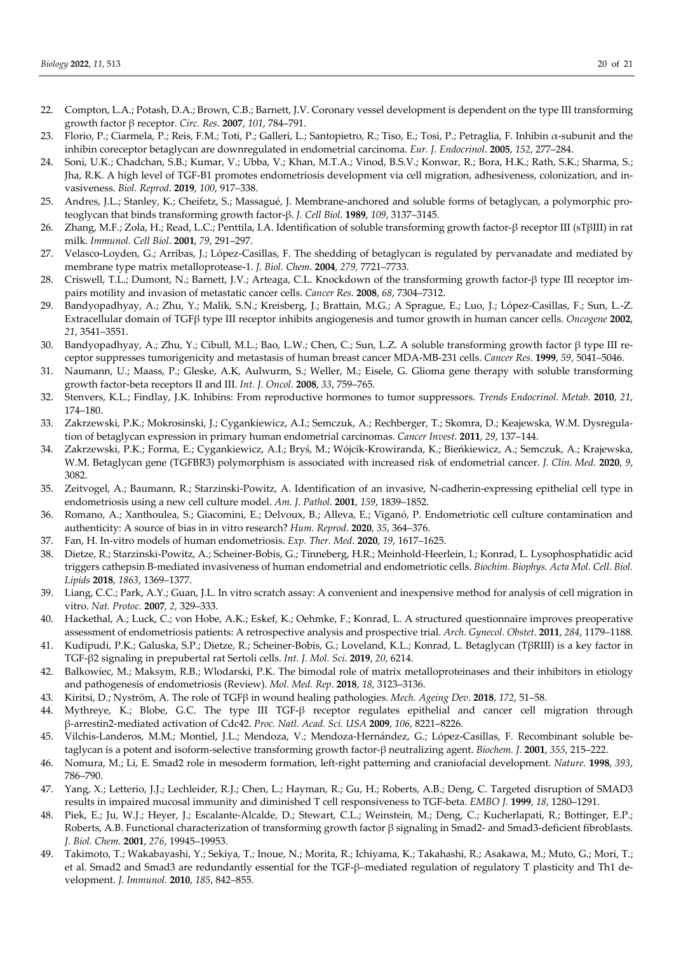- 22. Compton, L.A.; Potash, D.A.; Brown, C.B.; Barnett, J.V. Coronary vessel development is dependent on the type III transforming growth factor β receptor. *Circ. Res*. **2007**, *101*, 784–791.
- 23. Florio, P.; Ciarmela, P.; Reis, F.M.; Toti, P.; Galleri, L.; Santopietro, R.; Tiso, E.; Tosi, P.; Petraglia, F. Inhibin α-subunit and the inhibin coreceptor betaglycan are downregulated in endometrial carcinoma. *Eur. J. Endocrinol*. **2005**, *152*, 277–284.
- 24. Soni, U.K.; Chadchan, S.B.; Kumar, V.; Ubba, V.; Khan, M.T.A.; Vinod, B.S.V.; Konwar, R.; Bora, H.K.; Rath, S.K.; Sharma, S.; Jha, R.K. A high level of TGF-B1 promotes endometriosis development via cell migration, adhesiveness, colonization, and invasiveness. *Biol. Reprod*. **2019**, *100*, 917–338.
- 25. Andres, J.L.; Stanley, K.; Cheifetz, S.; Massagué, J. Membrane-anchored and soluble forms of betaglycan, a polymorphic proteoglycan that binds transforming growth factor-β. *J. Cell Biol*. **1989**, *109*, 3137–3145.
- 26. Zhang, M.F.; Zola, H.; Read, L.C.; Penttila, I.A. Identification of soluble transforming growth factor-β receptor III (sTβIII) in rat milk. *Immunol. Cell Biol*. **2001**, *79*, 291–297.
- 27. Velasco-Loyden, G.; Arribas, J.; López-Casillas, F. The shedding of betaglycan is regulated by pervanadate and mediated by membrane type matrix metalloprotease-1. *J. Biol. Chem*. **2004**, *279,* 7721–7733.
- 28. Criswell, T.L.; Dumont, N.; Barnett, J.V.; Arteaga, C.L. Knockdown of the transforming growth factor-β type III receptor impairs motility and invasion of metastatic cancer cells. *Cancer Res.* **2008**, *68*, 7304–7312.
- 29. Bandyopadhyay, A.; Zhu, Y.; Malik, S.N.; Kreisberg, J.; Brattain, M.G.; A Sprague, E.; Luo, J.; López-Casillas, F.; Sun, L.-Z. Extracellular domain of TGFβ type III receptor inhibits angiogenesis and tumor growth in human cancer cells. *Oncogene* **2002**, *21*, 3541–3551.
- 30. Bandyopadhyay, A.; Zhu, Y.; Cibull, M.L.; Bao, L.W.; Chen, C.; Sun, L.Z. A soluble transforming growth factor β type III receptor suppresses tumorigenicity and metastasis of human breast cancer MDA-MB-231 cells. *Cancer Res.* **1999**, *59*, 5041–5046.
- 31. Naumann, U.; Maass, P.; Gleske, A.K, Aulwurm, S.; Weller, M.; Eisele, G. Glioma gene therapy with soluble transforming growth factor-beta receptors II and III. *Int. J. Oncol.* **2008**, *33*, 759–765.
- 32. Stenvers, K.L.; Findlay, J.K. Inhibins: From reproductive hormones to tumor suppressors. *Trends Endocrinol. Metab*. **2010**, *21*, 174–180.
- 33. Zakrzewski, P.K.; Mokrosinski, J.; Cygankiewicz, A.I.; Semczuk, A.; Rechberger, T.; Skomra, D.; Keajewska, W.M. Dysregulation of betaglycan expression in primary human endometrial carcinomas. *Cancer Invest.* **2011**, *29*, 137–144.
- 34. Zakrzewski, P.K.; Forma, E.; Cygankiewicz, A.I.; Bryś, M.; Wójcik-Krowiranda, K.; Bieńkiewicz, A.; Semczuk, A.; Krajewska, W.M. Betaglycan gene (TGFBR3) polymorphism is associated with increased risk of endometrial cancer. *J. Clin. Med.* **2020**, *9*, 3082.
- 35. Zeitvogel, A.; Baumann, R.; Starzinski-Powitz, A. Identification of an invasive, N-cadherin-expressing epithelial cell type in endometriosis using a new cell culture model. *Am. J. Pathol.* **2001**, *159*, 1839–1852.
- 36. Romano, A.; Xanthoulea, S.; Giacomini, E.; Delvoux, B.; Alleva, E.; Viganó, P. Endometriotic cell culture contamination and authenticity: A source of bias in in vitro research? *Hum. Reprod*. **2020**, *35*, 364–376.
- 37. Fan, H. In-vitro models of human endometriosis. *Exp. Ther. Med*. **2020**, *19*, 1617–1625.
- 38. Dietze, R.; Starzinski-Powitz, A.; Scheiner-Bobis, G.; Tinneberg, H.R.; Meinhold-Heerlein, I.; Konrad, L. Lysophosphatidic acid triggers cathepsin B-mediated invasiveness of human endometrial and endometriotic cells. *Biochim. Biophys. Acta Mol. Cell. Biol. Lipids* **2018**, *1863*, 1369–1377.
- 39. Liang, C.C.; Park, A.Y.; Guan, J.L. In vitro scratch assay: A convenient and inexpensive method for analysis of cell migration in vitro. *Nat. Protoc.* **2007**, *2,* 329–333.
- 40. Hackethal, A.; Luck, C.; von Hobe, A.K.; Eskef, K.; Oehmke, F.; Konrad, L. A structured questionnaire improves preoperative assessment of endometriosis patients: A retrospective analysis and prospective trial. *Arch. Gynecol. Obstet*. **2011**, *284*, 1179–1188.
- 41. Kudipudi, P.K.; Galuska, S.P.; Dietze, R.; Scheiner-Bobis, G.; Loveland, K.L.; Konrad, L. Betaglycan (TβRIII) is a key factor in TGF-β2 signaling in prepubertal rat Sertoli cells. *Int. J. Mol. Sci*. **2019**, *20*, 6214.
- 42. Balkowiec, M.; Maksym, R.B.; Wlodarski, P.K. The bimodal role of matrix metalloproteinases and their inhibitors in etiology and pathogenesis of endometriosis (Review). *Mol. Med. Rep*. **2018**, *18*, 3123–3136.
- 43. Kiritsi, D.; Nyström, A. The role of TGFβ in wound healing pathologies. *Mech. Ageing Dev*. **2018**, *172*, 51–58.
- 44. Mythreye, K.; Blobe, G.C. The type III TGF-β receptor regulates epithelial and cancer cell migration through β-arrestin2-mediated activation of Cdc42. *Proc. Natl. Acad. Sci. USA* **2009**, *106*, 8221–8226.
- 45. Vilchis-Landeros, M.M.; Montiel, J.L.; Mendoza, V.; Mendoza-Hernández, G.; López-Casillas, F. Recombinant soluble betaglycan is a potent and isoform-selective transforming growth factor-β neutralizing agent. *Biochem. J.* **2001**, *355*, 215–222.
- 46. Nomura, M.; Li, E. Smad2 role in mesoderm formation, left-right patterning and craniofacial development. *Nature.* **1998**, *393*, 786–790.
- 47. Yang, X.; Letterio, J.J.; Lechleider, R.J.; Chen, L.; Hayman, R.; Gu, H.; Roberts, A.B.; Deng, C. Targeted disruption of SMAD3 results in impaired mucosal immunity and diminished T cell responsiveness to TGF-beta. *EMBO J*. **1999**, *18*, 1280–1291.
- 48. Piek, E.; Ju, W.J.; Heyer, J.; Escalante-Alcalde, D.; Stewart, C.L.; Weinstein, M.; Deng, C.; Kucherlapati, R.; Bottinger, E.P.; Roberts, A.B. Functional characterization of transforming growth factor β signaling in Smad2- and Smad3-deficient fibroblasts. *J. Biol. Chem.* **2001**, *276*, 19945–19953.
- 49. Takimoto, T.; Wakabayashi, Y.; Sekiya, T.; Inoue, N.; Morita, R.; Ichiyama, K.; Takahashi, R.; Asakawa, M.; Muto, G.; Mori, T.; et al. Smad2 and Smad3 are redundantly essential for the TGF-β–mediated regulation of regulatory T plasticity and Th1 development. *J. Immunol.* **2010**, *185*, 842–855.